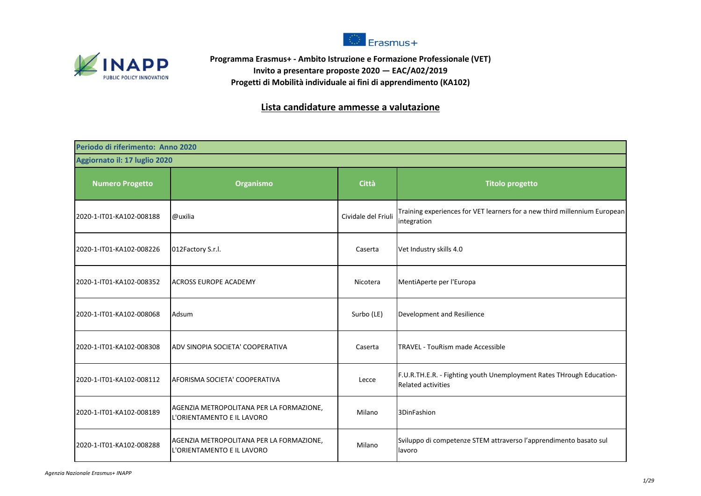



**Programma Erasmus+ - Ambito Istruzione e Formazione Professionale (VET) Invito a presentare proposte 2020 — EAC/A02/2019 Progetti di Mobilità individuale ai fini di apprendimento (KA102)**

## **Lista candidature ammesse a valutazione**

| Periodo di riferimento: Anno 2020 |                                                                        |                     |                                                                                                   |
|-----------------------------------|------------------------------------------------------------------------|---------------------|---------------------------------------------------------------------------------------------------|
| Aggiornato il: 17 luglio 2020     |                                                                        |                     |                                                                                                   |
| <b>Numero Progetto</b>            | Organismo                                                              | <b>Città</b>        | <b>Titolo progetto</b>                                                                            |
| 2020-1-IT01-KA102-008188          | @uxilia                                                                | Cividale del Friuli | Training experiences for VET learners for a new third millennium European<br>integration          |
| 2020-1-IT01-KA102-008226          | 012Factory S.r.l.                                                      | Caserta             | Vet Industry skills 4.0                                                                           |
| 2020-1-IT01-KA102-008352          | <b>ACROSS EUROPE ACADEMY</b>                                           | Nicotera            | MentiAperte per l'Europa                                                                          |
| 2020-1-IT01-KA102-008068          | Adsum                                                                  | Surbo (LE)          | Development and Resilience                                                                        |
| 2020-1-IT01-KA102-008308          | ADV SINOPIA SOCIETA' COOPERATIVA                                       | Caserta             | <b>TRAVEL - TouRism made Accessible</b>                                                           |
| 2020-1-IT01-KA102-008112          | AFORISMA SOCIETA' COOPERATIVA                                          | Lecce               | F.U.R.TH.E.R. - Fighting youth Unemployment Rates THrough Education-<br><b>Related activities</b> |
| 2020-1-IT01-KA102-008189          | AGENZIA METROPOLITANA PER LA FORMAZIONE,<br>L'ORIENTAMENTO E IL LAVORO | Milano              | 3DinFashion                                                                                       |
| 2020-1-IT01-KA102-008288          | AGENZIA METROPOLITANA PER LA FORMAZIONE,<br>L'ORIENTAMENTO E IL LAVORO | Milano              | Sviluppo di competenze STEM attraverso l'apprendimento basato sul<br>lavoro                       |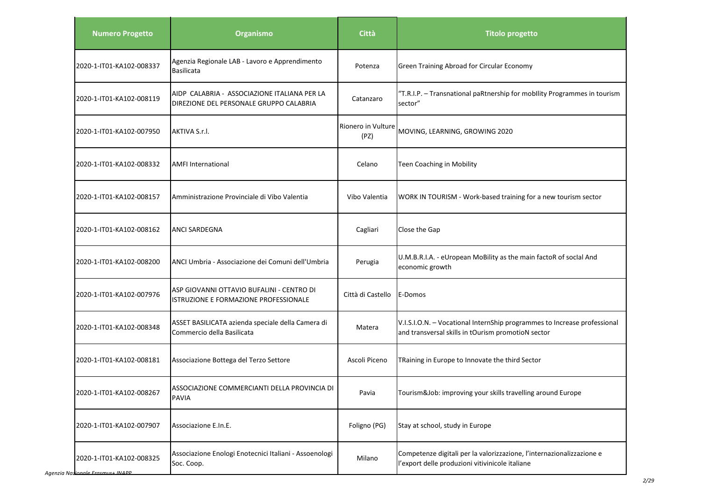| <b>Numero Progetto</b>   | Organismo                                                                               | <b>Città</b>               | <b>Titolo progetto</b>                                                                                                         |
|--------------------------|-----------------------------------------------------------------------------------------|----------------------------|--------------------------------------------------------------------------------------------------------------------------------|
| 2020-1-IT01-KA102-008337 | Agenzia Regionale LAB - Lavoro e Apprendimento<br><b>Basilicata</b>                     | Potenza                    | Green Training Abroad for Circular Economy                                                                                     |
| 2020-1-IT01-KA102-008119 | AIDP CALABRIA - ASSOCIAZIONE ITALIANA PER LA<br>DIREZIONE DEL PERSONALE GRUPPO CALABRIA | Catanzaro                  | "T.R.I.P. - Transnational paRtnership for mobility Programmes in tourism<br>sector"                                            |
| 2020-1-IT01-KA102-007950 | AKTIVA S.r.l.                                                                           | Rionero in Vulture<br>(PZ) | MOVING, LEARNING, GROWING 2020                                                                                                 |
| 2020-1-IT01-KA102-008332 | <b>AMFI International</b>                                                               | Celano                     | Teen Coaching in Mobility                                                                                                      |
| 2020-1-IT01-KA102-008157 | Amministrazione Provinciale di Vibo Valentia                                            | Vibo Valentia              | WORK IN TOURISM - Work-based training for a new tourism sector                                                                 |
| 2020-1-IT01-KA102-008162 | <b>ANCI SARDEGNA</b>                                                                    | Cagliari                   | Close the Gap                                                                                                                  |
| 2020-1-IT01-KA102-008200 | ANCI Umbria - Associazione dei Comuni dell'Umbria                                       | Perugia                    | U.M.B.R.I.A. - eUropean MoBility as the main factoR of socIal And<br>economic growth                                           |
| 2020-1-IT01-KA102-007976 | ASP GIOVANNI OTTAVIO BUFALINI - CENTRO DI<br>ISTRUZIONE E FORMAZIONE PROFESSIONALE      | Città di Castello          | E-Domos                                                                                                                        |
| 2020-1-IT01-KA102-008348 | ASSET BASILICATA azienda speciale della Camera di<br>Commercio della Basilicata         | Matera                     | V.I.S.I.O.N. - Vocational InternShip programmes to Increase professional<br>and transversal skills in tOurism promotioN sector |
| 2020-1-IT01-KA102-008181 | Associazione Bottega del Terzo Settore                                                  | Ascoli Piceno              | TRaining in Europe to Innovate the third Sector                                                                                |
| 2020-1-IT01-KA102-008267 | ASSOCIAZIONE COMMERCIANTI DELLA PROVINCIA DI<br><b>PAVIA</b>                            | Pavia                      | Tourism&Job: improving your skills travelling around Europe                                                                    |
| 2020-1-IT01-KA102-007907 | Associazione E.In.E.                                                                    | Foligno (PG)               | Stay at school, study in Europe                                                                                                |
| 2020-1-IT01-KA102-008325 | Associazione Enologi Enotecnici Italiani - Assoenologi<br>Soc. Coop.                    | Milano                     | Competenze digitali per la valorizzazione, l'internazionalizzazione e<br>l'export delle produzioni vitivinicole italiane       |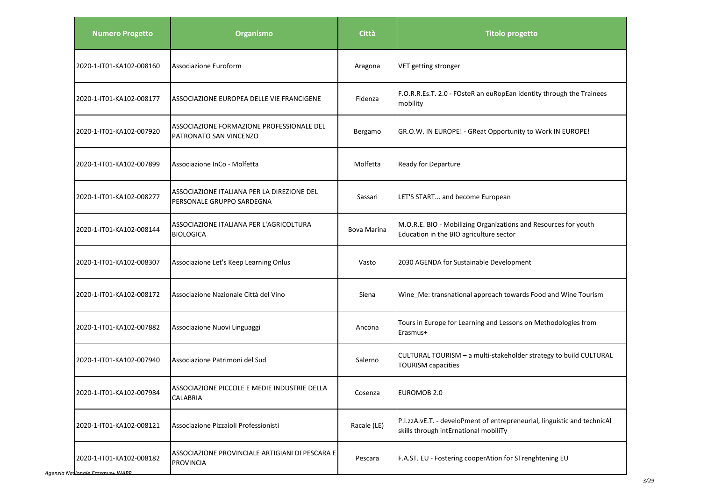| <b>Numero Progetto</b>   | Organismo                                                               | Città       | <b>Titolo progetto</b>                                                                                            |
|--------------------------|-------------------------------------------------------------------------|-------------|-------------------------------------------------------------------------------------------------------------------|
| 2020-1-IT01-KA102-008160 | Associazione Euroform                                                   | Aragona     | VET getting stronger                                                                                              |
| 2020-1-IT01-KA102-008177 | ASSOCIAZIONE EUROPEA DELLE VIE FRANCIGENE                               | Fidenza     | F.O.R.R.Es.T. 2.0 - FOsteR an euRopEan identity through the Trainees<br>mobility                                  |
| 2020-1-IT01-KA102-007920 | ASSOCIAZIONE FORMAZIONE PROFESSIONALE DEL<br>PATRONATO SAN VINCENZO     | Bergamo     | GR.O.W. IN EUROPE! - GReat Opportunity to Work IN EUROPE!                                                         |
| 2020-1-IT01-KA102-007899 | Associazione InCo - Molfetta                                            | Molfetta    | Ready for Departure                                                                                               |
| 2020-1-IT01-KA102-008277 | ASSOCIAZIONE ITALIANA PER LA DIREZIONE DEL<br>PERSONALE GRUPPO SARDEGNA | Sassari     | LET'S START and become European                                                                                   |
| 2020-1-IT01-KA102-008144 | ASSOCIAZIONE ITALIANA PER L'AGRICOLTURA<br><b>BIOLOGICA</b>             | Bova Marina | M.O.R.E. BIO - Mobilizing Organizations and Resources for youth<br>Education in the BIO agriculture sector        |
| 2020-1-IT01-KA102-008307 | Associazione Let's Keep Learning Onlus                                  | Vasto       | 2030 AGENDA for Sustainable Development                                                                           |
| 2020-1-IT01-KA102-008172 | Associazione Nazionale Città del Vino                                   | Siena       | Wine_Me: transnational approach towards Food and Wine Tourism                                                     |
| 2020-1-IT01-KA102-007882 | Associazione Nuovi Linguaggi                                            | Ancona      | Tours in Europe for Learning and Lessons on Methodologies from<br>Erasmus+                                        |
| 2020-1-IT01-KA102-007940 | Associazione Patrimoni del Sud                                          | Salerno     | CULTURAL TOURISM - a multi-stakeholder strategy to build CULTURAL<br><b>TOURISM capacities</b>                    |
| 2020-1-IT01-KA102-007984 | ASSOCIAZIONE PICCOLE E MEDIE INDUSTRIE DELLA<br><b>CALABRIA</b>         | Cosenza     | EUROMOB 2.0                                                                                                       |
| 2020-1-IT01-KA102-008121 | Associazione Pizzaioli Professionisti                                   | Racale (LE) | P.I.zzA.vE.T. - develoPment of entrepreneurIal, linguistic and technicAl<br>skills through intErnational mobiliTy |
| 2020-1-IT01-KA102-008182 | ASSOCIAZIONE PROVINCIALE ARTIGIANI DI PESCARA E<br><b>PROVINCIA</b>     | Pescara     | F.A.ST. EU - Fostering cooperAtion for STrenghtening EU                                                           |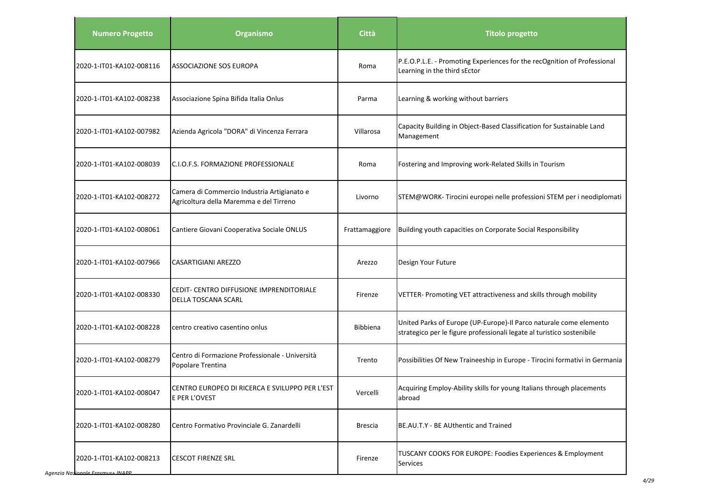| <b>Numero Progetto</b>   | <b>Organismo</b>                                                                       | <b>Città</b>   | <b>Titolo progetto</b>                                                                                                                       |
|--------------------------|----------------------------------------------------------------------------------------|----------------|----------------------------------------------------------------------------------------------------------------------------------------------|
| 2020-1-IT01-KA102-008116 | ASSOCIAZIONE SOS EUROPA                                                                | Roma           | P.E.O.P.L.E. - Promoting Experiences for the recOgnition of Professional<br>Learning in the third sEctor                                     |
| 2020-1-IT01-KA102-008238 | Associazione Spina Bifida Italia Onlus                                                 | Parma          | Learning & working without barriers                                                                                                          |
| 2020-1-IT01-KA102-007982 | Azienda Agricola "DORA" di Vincenza Ferrara                                            | Villarosa      | Capacity Building in Object-Based Classification for Sustainable Land<br>Management                                                          |
| 2020-1-IT01-KA102-008039 | <b>I</b> C.I.O.F.S. FORMAZIONE PROFESSIONALE                                           | Roma           | Fostering and Improving work-Related Skills in Tourism                                                                                       |
| 2020-1-IT01-KA102-008272 | Camera di Commercio Industria Artigianato e<br>Agricoltura della Maremma e del Tirreno | Livorno        | STEM@WORK-Tirocini europei nelle professioni STEM per i neodiplomati                                                                         |
| 2020-1-IT01-KA102-008061 | Cantiere Giovani Cooperativa Sociale ONLUS                                             | Frattamaggiore | Building youth capacities on Corporate Social Responsibility                                                                                 |
| 2020-1-IT01-KA102-007966 | <b>CASARTIGIANI AREZZO</b>                                                             | Arezzo         | Design Your Future                                                                                                                           |
| 2020-1-IT01-KA102-008330 | CEDIT- CENTRO DIFFUSIONE IMPRENDITORIALE<br><b>DELLA TOSCANA SCARL</b>                 | Firenze        | VETTER- Promoting VET attractiveness and skills through mobility                                                                             |
| 2020-1-IT01-KA102-008228 | centro creativo casentino onlus                                                        | Bibbiena       | United Parks of Europe (UP-Europe)-Il Parco naturale come elemento<br>strategico per le figure professionali legate al turistico sostenibile |
| 2020-1-IT01-KA102-008279 | Centro di Formazione Professionale - Università<br>Popolare Trentina                   | Trento         | Possibilities Of New Traineeship in Europe - Tirocini formativi in Germania                                                                  |
| 2020-1-IT01-KA102-008047 | CENTRO EUROPEO DI RICERCA E SVILUPPO PER L'EST<br>E PER L'OVEST                        | Vercelli       | Acquiring Employ-Ability skills for young Italians through placements<br>abroad                                                              |
| 2020-1-IT01-KA102-008280 | Centro Formativo Provinciale G. Zanardelli                                             | <b>Brescia</b> | BE.AU.T.Y - BE AUthentic and Trained                                                                                                         |
| 2020-1-IT01-KA102-008213 | <b>CESCOT FIRENZE SRL</b>                                                              | Firenze        | TUSCANY COOKS FOR EUROPE: Foodies Experiences & Employment<br>Services                                                                       |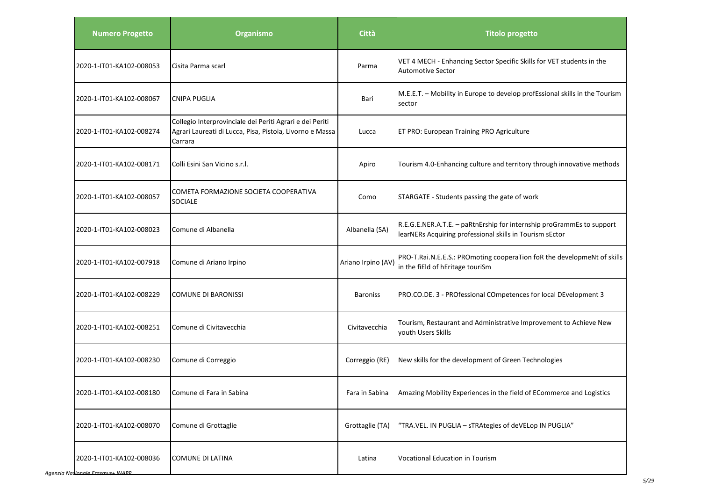| <b>Numero Progetto</b>   | <b>Organismo</b>                                                                                                                | Città              | <b>Titolo progetto</b>                                                                                                            |
|--------------------------|---------------------------------------------------------------------------------------------------------------------------------|--------------------|-----------------------------------------------------------------------------------------------------------------------------------|
| 2020-1-IT01-KA102-008053 | Cisita Parma scarl                                                                                                              | Parma              | VET 4 MECH - Enhancing Sector Specific Skills for VET students in the<br><b>Automotive Sector</b>                                 |
| 2020-1-IT01-KA102-008067 | <b>CNIPA PUGLIA</b>                                                                                                             | Bari               | M.E.E.T. - Mobility in Europe to develop profEssional skills in the Tourism<br>sector                                             |
| 2020-1-IT01-KA102-008274 | Collegio Interprovinciale dei Periti Agrari e dei Periti<br>Agrari Laureati di Lucca, Pisa, Pistoia, Livorno e Massa<br>Carrara | Lucca              | ET PRO: European Training PRO Agriculture                                                                                         |
| 2020-1-IT01-KA102-008171 | Colli Esini San Vicino s.r.l.                                                                                                   | Apiro              | Tourism 4.0-Enhancing culture and territory through innovative methods                                                            |
| 2020-1-IT01-KA102-008057 | COMETA FORMAZIONE SOCIETA COOPERATIVA<br><b>SOCIALE</b>                                                                         | Como               | STARGATE - Students passing the gate of work                                                                                      |
| 2020-1-IT01-KA102-008023 | Comune di Albanella                                                                                                             | Albanella (SA)     | R.E.G.E.NER.A.T.E. - paRtnErship for internship proGrammEs to support<br>learNERs Acquiring professional skills in Tourism sEctor |
| 2020-1-IT01-KA102-007918 | Comune di Ariano Irpino                                                                                                         | Ariano Irpino (AV) | PRO-T.Rai.N.E.E.S.: PROmoting cooperaTion foR the developmeNt of skills<br>in the fiEld of hEritage touriSm                       |
| 2020-1-IT01-KA102-008229 | <b>COMUNE DI BARONISSI</b>                                                                                                      | <b>Baroniss</b>    | PRO.CO.DE. 3 - PROfessional COmpetences for local DEvelopment 3                                                                   |
| 2020-1-IT01-KA102-008251 | Comune di Civitavecchia                                                                                                         | Civitavecchia      | Tourism, Restaurant and Administrative Improvement to Achieve New<br>vouth Users Skills                                           |
| 2020-1-IT01-KA102-008230 | Comune di Correggio                                                                                                             | Correggio (RE)     | New skills for the development of Green Technologies                                                                              |
| 2020-1-IT01-KA102-008180 | Comune di Fara in Sabina                                                                                                        | Fara in Sabina     | Amazing Mobility Experiences in the field of ECommerce and Logistics                                                              |
| 2020-1-IT01-KA102-008070 | Comune di Grottaglie                                                                                                            | Grottaglie (TA)    | "TRA.VEL. IN PUGLIA - sTRAtegies of deVELop IN PUGLIA"                                                                            |
| 2020-1-IT01-KA102-008036 | <b>COMUNE DI LATINA</b>                                                                                                         | Latina             | Vocational Education in Tourism                                                                                                   |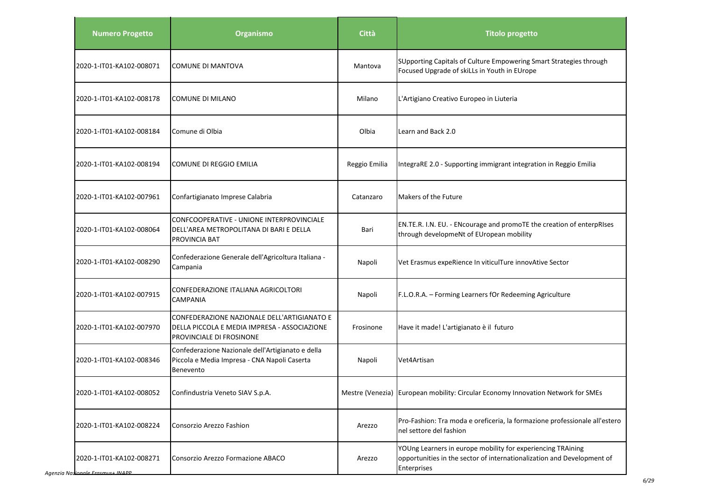| <b>Numero Progetto</b>                                       | Organismo                                                                                                               | Città         | <b>Titolo progetto</b>                                                                                                                               |
|--------------------------------------------------------------|-------------------------------------------------------------------------------------------------------------------------|---------------|------------------------------------------------------------------------------------------------------------------------------------------------------|
| 2020-1-IT01-KA102-008071                                     | <b>COMUNE DI MANTOVA</b>                                                                                                | Mantova       | SUpporting Capitals of Culture Empowering Smart Strategies through<br>Focused Upgrade of skiLLs in Youth in EUrope                                   |
| 2020-1-IT01-KA102-008178                                     | COMUNE DI MILANO                                                                                                        | Milano        | L'Artigiano Creativo Europeo in Liuteria                                                                                                             |
| 2020-1-IT01-KA102-008184                                     | Comune di Olbia                                                                                                         | Olbia         | Learn and Back 2.0                                                                                                                                   |
| 2020-1-IT01-KA102-008194                                     | COMUNE DI REGGIO EMILIA                                                                                                 | Reggio Emilia | IntegraRE 2.0 - Supporting immigrant integration in Reggio Emilia                                                                                    |
| 2020-1-IT01-KA102-007961                                     | Confartigianato Imprese Calabria                                                                                        | Catanzaro     | Makers of the Future                                                                                                                                 |
| 2020-1-IT01-KA102-008064                                     | CONFCOOPERATIVE - UNIONE INTERPROVINCIALE<br>DELL'AREA METROPOLITANA DI BARI E DELLA<br>PROVINCIA BAT                   | Bari          | EN.TE.R. I.N. EU. - ENcourage and promoTE the creation of enterpRIses<br>through developmeNt of EUropean mobility                                    |
| 2020-1-IT01-KA102-008290                                     | Confederazione Generale dell'Agricoltura Italiana -<br>Campania                                                         | Napoli        | Vet Erasmus expeRience In viticulTure innovAtive Sector                                                                                              |
| 2020-1-IT01-KA102-007915                                     | CONFEDERAZIONE ITALIANA AGRICOLTORI<br><b>CAMPANIA</b>                                                                  | Napoli        | F.L.O.R.A. - Forming Learners fOr Redeeming Agriculture                                                                                              |
| 2020-1-IT01-KA102-007970                                     | CONFEDERAZIONE NAZIONALE DELL'ARTIGIANATO E<br>DELLA PICCOLA E MEDIA IMPRESA - ASSOCIAZIONE<br>PROVINCIALE DI FROSINONE | Frosinone     | Have it made! L'artigianato è il futuro                                                                                                              |
| 2020-1-IT01-KA102-008346                                     | Confederazione Nazionale dell'Artigianato e della<br>Piccola e Media Impresa - CNA Napoli Caserta<br>Benevento          | Napoli        | Vet4Artisan                                                                                                                                          |
| 2020-1-IT01-KA102-008052                                     | Confindustria Veneto SIAV S.p.A.                                                                                        |               | Mestre (Venezia) European mobility: Circular Economy Innovation Network for SMEs                                                                     |
| 2020-1-IT01-KA102-008224                                     | Consorzio Arezzo Fashion                                                                                                | Arezzo        | Pro-Fashion: Tra moda e oreficeria, la formazione professionale all'estero<br>nel settore del fashion                                                |
| 2020-1-IT01-KA102-008271<br>Agenzia Nazionale Erasmus+ INAPP | Consorzio Arezzo Formazione ABACO                                                                                       | Arezzo        | YOUng Learners in europe mobility for experiencing TRAining<br>opportunities in the sector of internationalization and Development of<br>Enterprises |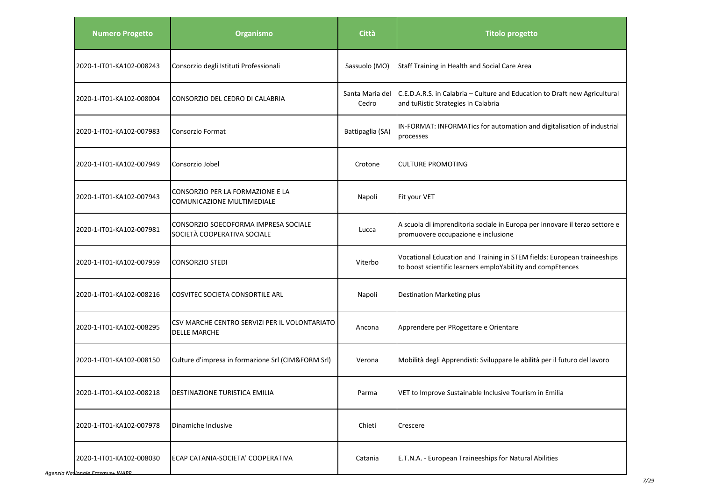| <b>Numero Progetto</b>   | <b>Organismo</b>                                                     | Città                    | <b>Titolo progetto</b>                                                                                                                |
|--------------------------|----------------------------------------------------------------------|--------------------------|---------------------------------------------------------------------------------------------------------------------------------------|
| 2020-1-IT01-KA102-008243 | Consorzio degli Istituti Professionali                               | Sassuolo (MO)            | Staff Training in Health and Social Care Area                                                                                         |
| 2020-1-IT01-KA102-008004 | CONSORZIO DEL CEDRO DI CALABRIA                                      | Santa Maria del<br>Cedro | C.E.D.A.R.S. in Calabria - Culture and Education to Draft new Agricultural<br>and tuRistic Strategies in Calabria                     |
| 2020-1-IT01-KA102-007983 | Consorzio Format                                                     | Battipaglia (SA)         | IN-FORMAT: INFORMATics for automation and digitalisation of industrial<br>processes                                                   |
| 2020-1-IT01-KA102-007949 | Consorzio Jobel                                                      | Crotone                  | <b>CULTURE PROMOTING</b>                                                                                                              |
| 2020-1-IT01-KA102-007943 | CONSORZIO PER LA FORMAZIONE E LA<br>COMUNICAZIONE MULTIMEDIALE       | Napoli                   | Fit your VET                                                                                                                          |
| 2020-1-IT01-KA102-007981 | CONSORZIO SOECOFORMA IMPRESA SOCIALE<br>SOCIETÀ COOPERATIVA SOCIALE  | Lucca                    | A scuola di imprenditoria sociale in Europa per innovare il terzo settore e<br>promuovere occupazione e inclusione                    |
| 2020-1-IT01-KA102-007959 | <b>CONSORZIO STEDI</b>                                               | Viterbo                  | Vocational Education and Training in STEM fields: European traineeships<br>to boost scientific learners emploYabiLity and compEtences |
| 2020-1-IT01-KA102-008216 | COSVITEC SOCIETA CONSORTILE ARL                                      | Napoli                   | <b>Destination Marketing plus</b>                                                                                                     |
| 2020-1-IT01-KA102-008295 | CSV MARCHE CENTRO SERVIZI PER IL VOLONTARIATO<br><b>DELLE MARCHE</b> | Ancona                   | Apprendere per PRogettare e Orientare                                                                                                 |
| 2020-1-IT01-KA102-008150 | Culture d'impresa in formazione Srl (CIM&FORM Srl)                   | Verona                   | Mobilità degli Apprendisti: Sviluppare le abilità per il futuro del lavoro                                                            |
| 2020-1-IT01-KA102-008218 | <b>DESTINAZIONE TURISTICA EMILIA</b>                                 | Parma                    | VET to Improve Sustainable Inclusive Tourism in Emilia                                                                                |
| 2020-1-IT01-KA102-007978 | Dinamiche Inclusive                                                  | Chieti                   | Crescere                                                                                                                              |
| 2020-1-IT01-KA102-008030 | ECAP CATANIA-SOCIETA' COOPERATIVA                                    | Catania                  | E.T.N.A. - European Traineeships for Natural Abilities                                                                                |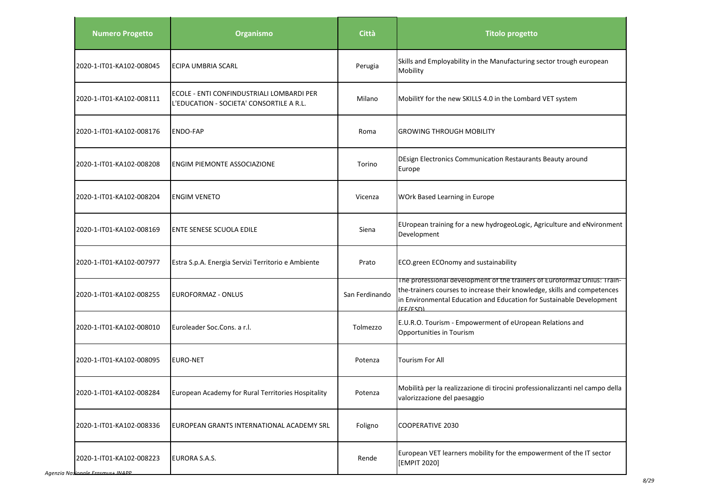| <b>Numero Progetto</b>                             | <b>Organismo</b>                                                                      | <b>Città</b>   | <b>Titolo progetto</b>                                                                                                                                                                                                                   |
|----------------------------------------------------|---------------------------------------------------------------------------------------|----------------|------------------------------------------------------------------------------------------------------------------------------------------------------------------------------------------------------------------------------------------|
| 2020-1-IT01-KA102-008045                           | <b>ECIPA UMBRIA SCARL</b>                                                             | Perugia        | Skills and Employability in the Manufacturing sector trough european<br>Mobility                                                                                                                                                         |
| 2020-1-IT01-KA102-008111                           | ECOLE - ENTI CONFINDUSTRIALI LOMBARDI PER<br>L'EDUCATION - SOCIETA' CONSORTILE A R.L. | Milano         | MobilitY for the new SKILLS 4.0 in the Lombard VET system                                                                                                                                                                                |
| 2020-1-IT01-KA102-008176                           | <b>ENDO-FAP</b>                                                                       | Roma           | <b>GROWING THROUGH MOBILITY</b>                                                                                                                                                                                                          |
| 2020-1-IT01-KA102-008208                           | ENGIM PIEMONTE ASSOCIAZIONE                                                           | Torino         | DEsign Electronics Communication Restaurants Beauty around<br>Europe                                                                                                                                                                     |
| 2020-1-IT01-KA102-008204                           | <b>ENGIM VENETO</b>                                                                   | Vicenza        | WOrk Based Learning in Europe                                                                                                                                                                                                            |
| 2020-1-IT01-KA102-008169                           | <b>ENTE SENESE SCUOLA EDILE</b>                                                       | Siena          | EUropean training for a new hydrogeoLogic, Agriculture and eNvironment<br>Development                                                                                                                                                    |
| 2020-1-IT01-KA102-007977                           | Estra S.p.A. Energia Servizi Territorio e Ambiente                                    | Prato          | ECO.green ECOnomy and sustainability                                                                                                                                                                                                     |
| 2020-1-IT01-KA102-008255                           | <b>EUROFORMAZ - ONLUS</b>                                                             | San Ferdinando | The professional development of the trainers of Euroformaz Unius: Train-<br>the-trainers courses to increase their knowledge, skills and competences<br>in Environmental Education and Education for Sustainable Development<br>(FF/FSD) |
| 2020-1-IT01-KA102-008010                           | Euroleader Soc.Cons. a r.l.                                                           | Tolmezzo       | E.U.R.O. Tourism - Empowerment of eUropean Relations and<br>Opportunities in Tourism                                                                                                                                                     |
| 2020-1-IT01-KA102-008095                           | <b>EURO-NET</b>                                                                       | Potenza        | <b>Tourism For All</b>                                                                                                                                                                                                                   |
| 2020-1-IT01-KA102-008284                           | European Academy for Rural Territories Hospitality                                    | Potenza        | Mobilità per la realizzazione di tirocini professionalizzanti nel campo della<br>valorizzazione del paesaggio                                                                                                                            |
| 2020-1-IT01-KA102-008336                           | EUROPEAN GRANTS INTERNATIONAL ACADEMY SRL                                             | Foligno        | <b>COOPERATIVE 2030</b>                                                                                                                                                                                                                  |
| 2020-1-IT01-KA102-008223<br>ionale Fracmuc+ INIADD | <b>EURORA S.A.S.</b>                                                                  | Rende          | European VET learners mobility for the empowerment of the IT sector<br>[EMPIT 2020]                                                                                                                                                      |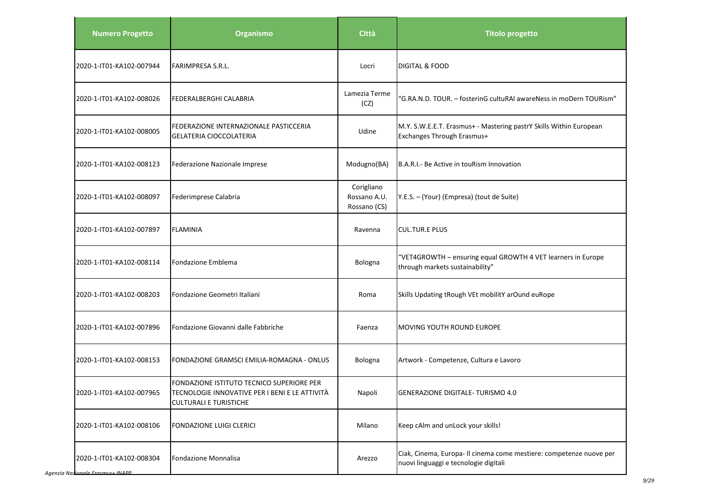| <b>Numero Progetto</b>             | Organismo                                                                                                                    | <b>Città</b>                               | <b>Titolo progetto</b>                                                                                       |
|------------------------------------|------------------------------------------------------------------------------------------------------------------------------|--------------------------------------------|--------------------------------------------------------------------------------------------------------------|
| 2020-1-IT01-KA102-007944           | FARIMPRESA S.R.L.                                                                                                            | Locri                                      | <b>DIGITAL &amp; FOOD</b>                                                                                    |
| 2020-1-IT01-KA102-008026           | FEDERALBERGHI CALABRIA                                                                                                       | Lamezia Terme<br>(CZ)                      | "G.RA.N.D. TOUR. - fosterinG cultuRAI awareNess in moDern TOURism"                                           |
| 2020-1-IT01-KA102-008005           | FEDERAZIONE INTERNAZIONALE PASTICCERIA<br><b>GELATERIA CIOCCOLATERIA</b>                                                     | Udine                                      | M.Y. S.W.E.E.T. Erasmus+ - Mastering pastrY Skills Within European<br>Exchanges Through Erasmus+             |
| 2020-1-IT01-KA102-008123           | Federazione Nazionale Imprese                                                                                                | Modugno(BA)                                | B.A.R.I.- Be Active in touRism Innovation                                                                    |
| 2020-1-IT01-KA102-008097           | Federimprese Calabria                                                                                                        | Corigliano<br>Rossano A.U.<br>Rossano (CS) | Y.E.S. - (Your) (Empresa) (tout de Suite)                                                                    |
| 2020-1-IT01-KA102-007897           | <b>FLAMINIA</b>                                                                                                              | Ravenna                                    | <b>CUL.TUR.E PLUS</b>                                                                                        |
| 2020-1-IT01-KA102-008114           | Fondazione Emblema                                                                                                           | Bologna                                    | "VET4GROWTH - ensuring equal GROWTH 4 VET learners in Europe<br>through markets sustainability"              |
| 2020-1-IT01-KA102-008203           | Fondazione Geometri Italiani                                                                                                 | Roma                                       | Skills Updating tRough VEt mobilitY arOund euRope                                                            |
| 2020-1-IT01-KA102-007896           | Fondazione Giovanni dalle Fabbriche                                                                                          | Faenza                                     | MOVING YOUTH ROUND EUROPE                                                                                    |
| 2020-1-IT01-KA102-008153           | FONDAZIONE GRAMSCI EMILIA-ROMAGNA - ONLUS                                                                                    | Bologna                                    | Artwork - Competenze, Cultura e Lavoro                                                                       |
| 2020-1-IT01-KA102-007965           | FONDAZIONE ISTITUTO TECNICO SUPERIORE PER<br>TECNOLOGIE INNOVATIVE PER I BENI E LE ATTIVITÀ<br><b>CULTURALI E TURISTICHE</b> | Napoli                                     | GENERAZIONE DIGITALE- TURISMO 4.0                                                                            |
| 2020-1-IT01-KA102-008106           | <b>FONDAZIONE LUIGI CLERICI</b>                                                                                              | Milano                                     | Keep cAlm and unLock your skills!                                                                            |
| 2020-1-IT01-KA102-008304<br>111100 | Fondazione Monnalisa                                                                                                         | Arezzo                                     | Ciak, Cinema, Europa- Il cinema come mestiere: competenze nuove per<br>nuovi linguaggi e tecnologie digitali |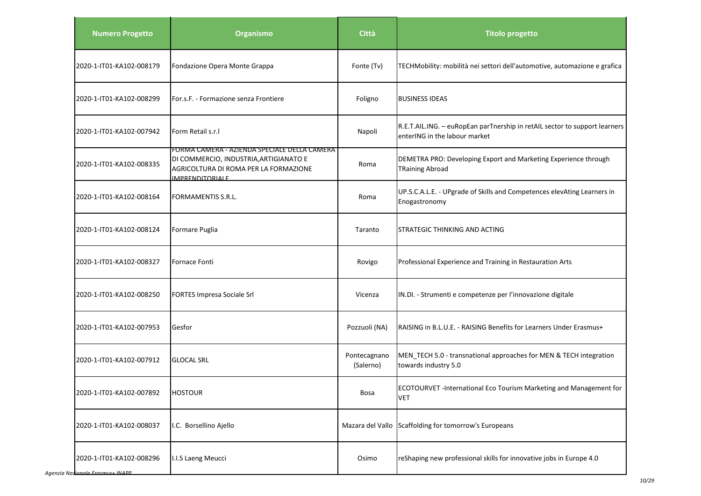| <b>Numero Progetto</b>   | Organismo                                                                                                                                          | Città                     | <b>Titolo progetto</b>                                                                                      |
|--------------------------|----------------------------------------------------------------------------------------------------------------------------------------------------|---------------------------|-------------------------------------------------------------------------------------------------------------|
| 2020-1-IT01-KA102-008179 | Fondazione Opera Monte Grappa                                                                                                                      | Fonte (Tv)                | TECHMobility: mobilità nei settori dell'automotive, automazione e grafica                                   |
| 2020-1-IT01-KA102-008299 | For.s.F. - Formazione senza Frontiere                                                                                                              | Foligno                   | <b>BUSINESS IDEAS</b>                                                                                       |
| 2020-1-IT01-KA102-007942 | Form Retail s.r.l                                                                                                                                  | Napoli                    | R.E.T.AIL.ING. - euRopEan parTnership in retAIL sector to support learners<br>enterING in the labour market |
| 2020-1-IT01-KA102-008335 | FORMA CAMERA - AZIENDA SPECIALE DELLA CAMERA<br>DI COMMERCIO, INDUSTRIA, ARTIGIANATO E<br>AGRICOLTURA DI ROMA PER LA FORMAZIONE<br>IMPRENDITORIALE | Roma                      | DEMETRA PRO: Developing Export and Marketing Experience through<br><b>TRaining Abroad</b>                   |
| 2020-1-IT01-KA102-008164 | FORMAMENTIS S.R.L.                                                                                                                                 | Roma                      | UP.S.C.A.L.E. - UPgrade of Skills and Competences elevAting Learners in<br>Enogastronomy                    |
| 2020-1-IT01-KA102-008124 | Formare Puglia                                                                                                                                     | Taranto                   | STRATEGIC THINKING AND ACTING                                                                               |
| 2020-1-IT01-KA102-008327 | <b>Fornace Fonti</b>                                                                                                                               | Rovigo                    | Professional Experience and Training in Restauration Arts                                                   |
| 2020-1-IT01-KA102-008250 | FORTES Impresa Sociale Srl                                                                                                                         | Vicenza                   | IN.DI. - Strumenti e competenze per l'innovazione digitale                                                  |
| 2020-1-IT01-KA102-007953 | Gesfor                                                                                                                                             | Pozzuoli (NA)             | RAISING in B.L.U.E. - RAISING Benefits for Learners Under Erasmus+                                          |
| 2020-1-IT01-KA102-007912 | <b>GLOCAL SRL</b>                                                                                                                                  | Pontecagnano<br>(Salerno) | MEN TECH 5.0 - transnational approaches for MEN & TECH integration<br>towards industry 5.0                  |
| 2020-1-IT01-KA102-007892 | <b>HOSTOUR</b>                                                                                                                                     | <b>Bosa</b>               | ECOTOURVET -International Eco Tourism Marketing and Management for<br><b>VET</b>                            |
| 2020-1-IT01-KA102-008037 | I.C. Borsellino Ajello                                                                                                                             | Mazara del Vallo          | Scaffolding for tomorrow's Europeans                                                                        |
| 2020-1-IT01-KA102-008296 | I.I.S Laeng Meucci                                                                                                                                 | Osimo                     | reShaping new professional skills for innovative jobs in Europe 4.0                                         |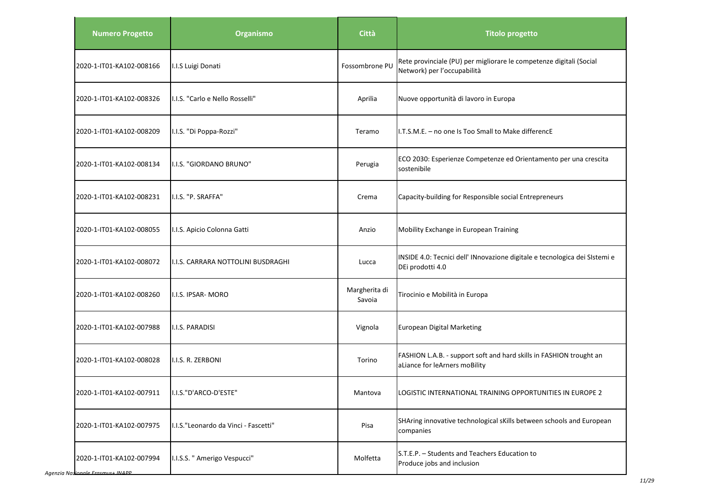| <b>Numero Progetto</b>                                     | Organismo                            | <b>Città</b>            | <b>Titolo progetto</b>                                                                               |
|------------------------------------------------------------|--------------------------------------|-------------------------|------------------------------------------------------------------------------------------------------|
| 2020-1-IT01-KA102-008166                                   | I.I.S Luigi Donati                   | Fossombrone PU          | Rete provinciale (PU) per migliorare le competenze digitali (Social<br>Network) per l'occupabilità   |
| 2020-1-IT01-KA102-008326                                   | I.I.S. "Carlo e Nello Rosselli"      | Aprilia                 | Nuove opportunità di lavoro in Europa                                                                |
| 2020-1-IT01-KA102-008209                                   | I.I.S. "Di Poppa-Rozzi"              | Teramo                  | I.T.S.M.E. - no one Is Too Small to Make differencE                                                  |
| 2020-1-IT01-KA102-008134                                   | I.I.S. "GIORDANO BRUNO"              | Perugia                 | ECO 2030: Esperienze Competenze ed Orientamento per una crescita<br>sostenibile                      |
| 2020-1-IT01-KA102-008231                                   | I.I.S. "P. SRAFFA"                   | Crema                   | Capacity-building for Responsible social Entrepreneurs                                               |
| 2020-1-IT01-KA102-008055                                   | I.I.S. Apicio Colonna Gatti          | Anzio                   | Mobility Exchange in European Training                                                               |
| 2020-1-IT01-KA102-008072                                   | I.I.S. CARRARA NOTTOLINI BUSDRAGHI   | Lucca                   | INSIDE 4.0: Tecnici dell' INnovazione digitale e tecnologica dei SIstemi e<br>DEi prodotti 4.0       |
| 2020-1-IT01-KA102-008260                                   | II.I.S. IPSAR- MORO                  | Margherita di<br>Savoia | Tirocinio e Mobilità in Europa                                                                       |
| 2020-1-IT01-KA102-007988                                   | I.I.S. PARADISI                      | Vignola                 | European Digital Marketing                                                                           |
| 2020-1-IT01-KA102-008028                                   | I.I.S. R. ZERBONI                    | Torino                  | FASHION L.A.B. - support soft and hard skills in FASHION trought an<br>aLiance for leArners moBility |
| 2020-1-IT01-KA102-007911                                   | I.I.S."D'ARCO-D'ESTE'                | Mantova                 | LOGISTIC INTERNATIONAL TRAINING OPPORTUNITIES IN EUROPE 2                                            |
| 2020-1-IT01-KA102-007975                                   | I.I.S."Leonardo da Vinci - Fascetti" | Pisa                    | SHAring innovative technological sKills between schools and European<br>companies                    |
| 2020-1-IT01-KA102-007994<br><b>Jionale Fracmus + INADD</b> | I.I.S.S. " Amerigo Vespucci"         | Molfetta                | S.T.E.P. - Students and Teachers Education to<br>Produce jobs and inclusion                          |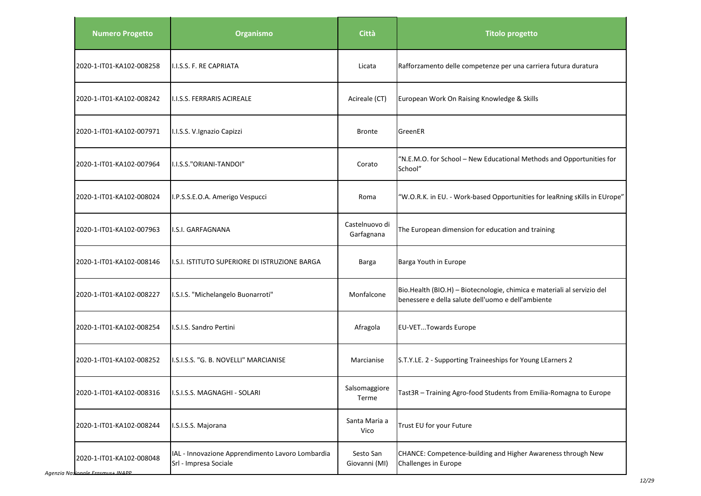| <b>Numero Progetto</b>   | Organismo                                                                 | Città                        | <b>Titolo progetto</b>                                                                                                        |
|--------------------------|---------------------------------------------------------------------------|------------------------------|-------------------------------------------------------------------------------------------------------------------------------|
| 2020-1-IT01-KA102-008258 | I.I.S.S. F. RE CAPRIATA                                                   | Licata                       | Rafforzamento delle competenze per una carriera futura duratura                                                               |
| 2020-1-IT01-KA102-008242 | <b>I.I.S.S. FERRARIS ACIREALE</b>                                         | Acireale (CT)                | European Work On Raising Knowledge & Skills                                                                                   |
| 2020-1-IT01-KA102-007971 | I.I.S.S. V.Ignazio Capizzi                                                | <b>Bronte</b>                | GreenER                                                                                                                       |
| 2020-1-IT01-KA102-007964 | I.I.S.S."ORIANI-TANDOI"                                                   | Corato                       | "N.E.M.O. for School - New Educational Methods and Opportunities for<br>School"                                               |
| 2020-1-IT01-KA102-008024 | I.P.S.S.E.O.A. Amerigo Vespucci                                           | Roma                         | "W.O.R.K. in EU. - Work-based Opportunities for leaRning sKills in EUrope"                                                    |
| 2020-1-IT01-KA102-007963 | I.S.I. GARFAGNANA                                                         | Castelnuovo di<br>Garfagnana | The European dimension for education and training                                                                             |
| 2020-1-IT01-KA102-008146 | I.S.I. ISTITUTO SUPERIORE DI ISTRUZIONE BARGA                             | <b>Barga</b>                 | Barga Youth in Europe                                                                                                         |
| 2020-1-IT01-KA102-008227 | I.S.I.S. "Michelangelo Buonarroti"                                        | Monfalcone                   | Bio.Health (BIO.H) - Biotecnologie, chimica e materiali al servizio del<br>benessere e della salute dell'uomo e dell'ambiente |
| 2020-1-IT01-KA102-008254 | I.S.I.S. Sandro Pertini                                                   | Afragola                     | <b>EU-VETTowards Europe</b>                                                                                                   |
| 2020-1-IT01-KA102-008252 | I.S.I.S.S. "G. B. NOVELLI" MARCIANISE                                     | Marcianise                   | S.T.Y.LE. 2 - Supporting Traineeships for Young LEarners 2                                                                    |
| 2020-1-IT01-KA102-008316 | I.S.I.S.S. MAGNAGHI - SOLARI                                              | Salsomaggiore<br>Terme       | Tast3R - Training Agro-food Students from Emilia-Romagna to Europe                                                            |
| 2020-1-IT01-KA102-008244 | I.S.I.S.S. Majorana                                                       | Santa Maria a<br>Vico        | Trust EU for your Future                                                                                                      |
| 2020-1-IT01-KA102-008048 | IAL - Innovazione Apprendimento Lavoro Lombardia<br>Srl - Impresa Sociale | Sesto San<br>Giovanni (MI)   | CHANCE: Competence-building and Higher Awareness through New<br>Challenges in Europe                                          |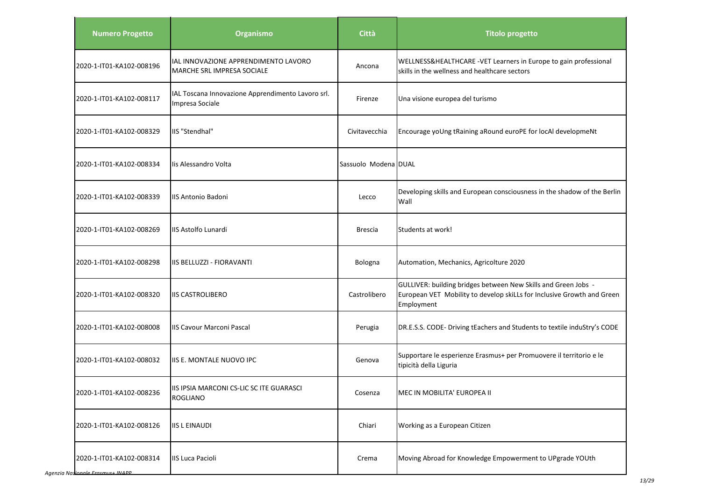| <b>Numero Progetto</b>   | <b>Organismo</b>                                                     | Città                | <b>Titolo progetto</b>                                                                                                                                 |
|--------------------------|----------------------------------------------------------------------|----------------------|--------------------------------------------------------------------------------------------------------------------------------------------------------|
| 2020-1-IT01-KA102-008196 | IAL INNOVAZIONE APPRENDIMENTO LAVORO<br>MARCHE SRL IMPRESA SOCIALE   | Ancona               | WELLNESS&HEALTHCARE -VET Learners in Europe to gain professional<br>skills in the wellness and healthcare sectors                                      |
| 2020-1-IT01-KA102-008117 | IAL Toscana Innovazione Apprendimento Lavoro srl.<br>Impresa Sociale | Firenze              | Una visione europea del turismo                                                                                                                        |
| 2020-1-IT01-KA102-008329 | IIS "Stendhal"                                                       | Civitavecchia        | Encourage yoUng tRaining aRound euroPE for locAl developmeNt                                                                                           |
| 2020-1-IT01-KA102-008334 | lis Alessandro Volta                                                 | Sassuolo Modena DUAL |                                                                                                                                                        |
| 2020-1-IT01-KA102-008339 | IIS Antonio Badoni                                                   | Lecco                | Developing skills and European consciousness in the shadow of the Berlin<br>Wall                                                                       |
| 2020-1-IT01-KA102-008269 | <b>IIS Astolfo Lunardi</b>                                           | <b>Brescia</b>       | Students at work!                                                                                                                                      |
| 2020-1-IT01-KA102-008298 | IIIS BELLUZZI - FIORAVANTI                                           | Bologna              | Automation, Mechanics, Agricolture 2020                                                                                                                |
| 2020-1-IT01-KA102-008320 | <b>IIS CASTROLIBERO</b>                                              | Castrolibero         | GULLIVER: building bridges between New Skills and Green Jobs -<br>European VET Mobility to develop skiLLs for Inclusive Growth and Green<br>Employment |
| 2020-1-IT01-KA102-008008 | <b>IIS Cavour Marconi Pascal</b>                                     | Perugia              | DR.E.S.S. CODE- Driving tEachers and Students to textile induStry's CODE                                                                               |
| 2020-1-IT01-KA102-008032 | IIS E. MONTALE NUOVO IPC                                             | Genova               | Supportare le esperienze Erasmus+ per Promuovere il territorio e le<br>tipicità della Liguria                                                          |
| 2020-1-IT01-KA102-008236 | IIS IPSIA MARCONI CS-LIC SC ITE GUARASCI<br><b>ROGLIANO</b>          | Cosenza              | MEC IN MOBILITA' EUROPEA II                                                                                                                            |
| 2020-1-IT01-KA102-008126 | <b>IIS L EINAUDI</b>                                                 | Chiari               | Working as a European Citizen                                                                                                                          |
| 2020-1-IT01-KA102-008314 | <b>IIS Luca Pacioli</b>                                              | Crema                | Moving Abroad for Knowledge Empowerment to UPgrade YOUth                                                                                               |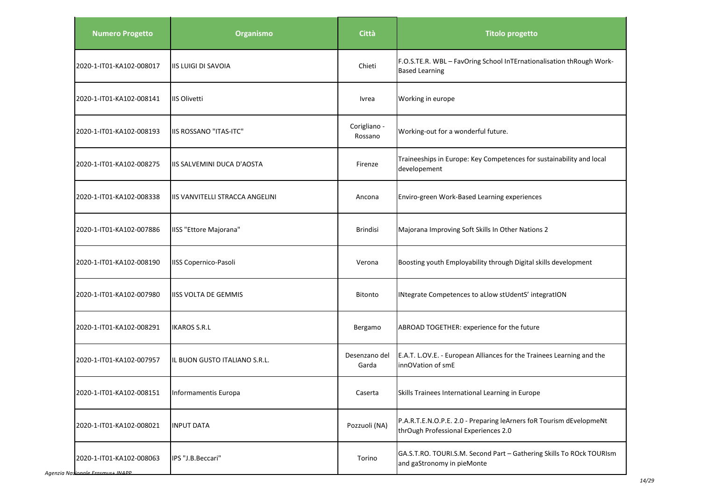| <b>Numero Progetto</b>               | Organismo                       | Città                   | <b>Titolo progetto</b>                                                                                      |
|--------------------------------------|---------------------------------|-------------------------|-------------------------------------------------------------------------------------------------------------|
| 2020-1-IT01-KA102-008017             | <b>IIS LUIGI DI SAVOIA</b>      | Chieti                  | F.O.S.TE.R. WBL - FavOring School InTErnationalisation thRough Work-<br><b>Based Learning</b>               |
| 2020-1-IT01-KA102-008141             | <b>IIS Olivetti</b>             | Ivrea                   | Working in europe                                                                                           |
| 2020-1-IT01-KA102-008193             | <b>IIS ROSSANO "ITAS-ITC"</b>   | Corigliano -<br>Rossano | Working-out for a wonderful future.                                                                         |
| 2020-1-IT01-KA102-008275             | IIS SALVEMINI DUCA D'AOSTA      | Firenze                 | Traineeships in Europe: Key Competences for sustainability and local<br>developement                        |
| 2020-1-IT01-KA102-008338             | IIS VANVITELLI STRACCA ANGELINI | Ancona                  | Enviro-green Work-Based Learning experiences                                                                |
| 2020-1-IT01-KA102-007886             | IISS "Ettore Majorana"          | <b>Brindisi</b>         | Majorana Improving Soft Skills In Other Nations 2                                                           |
| 2020-1-IT01-KA102-008190             | <b>IISS Copernico-Pasoli</b>    | Verona                  | Boosting youth Employability through Digital skills development                                             |
| 2020-1-IT01-KA102-007980             | <b>IISS VOLTA DE GEMMIS</b>     | <b>Bitonto</b>          | INtegrate Competences to aLlow stUdentS' integratION                                                        |
| 2020-1-IT01-KA102-008291             | <b>IKAROS S.R.L</b>             | Bergamo                 | ABROAD TOGETHER: experience for the future                                                                  |
| 2020-1-IT01-KA102-007957             | IL BUON GUSTO ITALIANO S.R.L.   | Desenzano del<br>Garda  | E.A.T. L.OV.E. - European Alliances for the Trainees Learning and the<br>innOVation of smE                  |
| 2020-1-IT01-KA102-008151             | Informamentis Europa            | Caserta                 | Skills Trainees International Learning in Europe                                                            |
| 2020-1-IT01-KA102-008021             | <b>INPUT DATA</b>               | Pozzuoli (NA)           | P.A.R.T.E.N.O.P.E. 2.0 - Preparing leArners foR Tourism dEvelopmeNt<br>thrOugh Professional Experiences 2.0 |
| 2020-1-IT01-KA102-008063<br>$in Enc$ | IPS "J.B.Beccari"               | Torino                  | GA.S.T.RO. TOURI.S.M. Second Part - Gathering Skills To ROck TOURIsm<br>and gaStronomy in pieMonte          |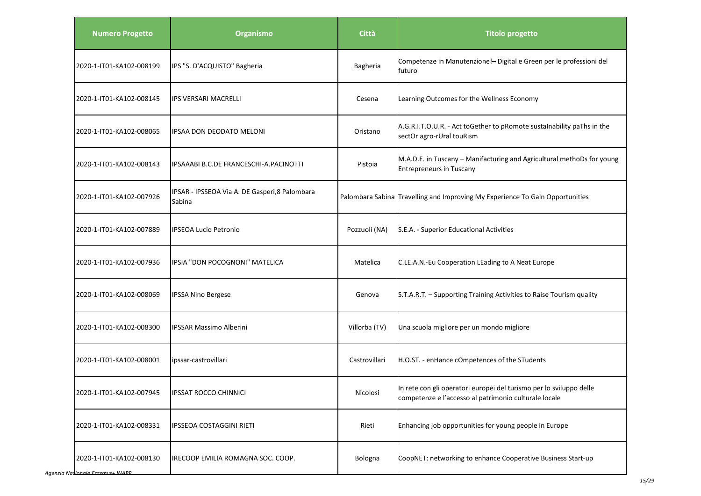| <b>Numero Progetto</b>   | Organismo                                                | Città         | <b>Titolo progetto</b>                                                                                                       |
|--------------------------|----------------------------------------------------------|---------------|------------------------------------------------------------------------------------------------------------------------------|
| 2020-1-IT01-KA102-008199 | IPS "S. D'ACQUISTO" Bagheria                             | Bagheria      | Competenze in Manutenzione!- Digital e Green per le professioni del<br>futuro                                                |
| 2020-1-IT01-KA102-008145 | <b>IPS VERSARI MACRELLI</b>                              | Cesena        | Learning Outcomes for the Wellness Economy                                                                                   |
| 2020-1-IT01-KA102-008065 | IPSAA DON DEODATO MELONI                                 | Oristano      | A.G.R.I.T.O.U.R. - Act toGether to pRomote sustalnability paThs in the<br>sectOr agro-rUral touRism                          |
| 2020-1-IT01-KA102-008143 | IPSAAABI B.C.DE FRANCESCHI-A.PACINOTTI                   | Pistoia       | M.A.D.E. in Tuscany - Manifacturing and Agricultural methoDs for young<br><b>Entrepreneurs in Tuscany</b>                    |
| 2020-1-IT01-KA102-007926 | IPSAR - IPSSEOA Via A. DE Gasperi, 8 Palombara<br>Sabina |               | Palombara Sabina Travelling and Improving My Experience To Gain Opportunities                                                |
| 2020-1-IT01-KA102-007889 | <b>IPSEOA Lucio Petronio</b>                             | Pozzuoli (NA) | S.E.A. - Superior Educational Activities                                                                                     |
| 2020-1-IT01-KA102-007936 | IPSIA "DON POCOGNONI" MATELICA                           | Matelica      | C.LE.A.N.-Eu Cooperation LEading to A Neat Europe                                                                            |
| 2020-1-IT01-KA102-008069 | <b>IPSSA Nino Bergese</b>                                | Genova        | S.T.A.R.T. - Supporting Training Activities to Raise Tourism quality                                                         |
| 2020-1-IT01-KA102-008300 | <b>IPSSAR Massimo Alberini</b>                           | Villorba (TV) | Una scuola migliore per un mondo migliore                                                                                    |
| 2020-1-IT01-KA102-008001 | ipssar-castrovillari                                     | Castrovillari | H.O.ST. - enHance cOmpetences of the STudents                                                                                |
| 2020-1-IT01-KA102-007945 | IPSSAT ROCCO CHINNICI                                    | Nicolosi      | In rete con gli operatori europei del turismo per lo sviluppo delle<br>competenze e l'accesso al patrimonio culturale locale |
| 2020-1-IT01-KA102-008331 | <b>IPSSEOA COSTAGGINI RIETI</b>                          | Rieti         | Enhancing job opportunities for young people in Europe                                                                       |
| 2020-1-IT01-KA102-008130 | IRECOOP EMILIA ROMAGNA SOC. COOP.                        | Bologna       | CoopNET: networking to enhance Cooperative Business Start-up                                                                 |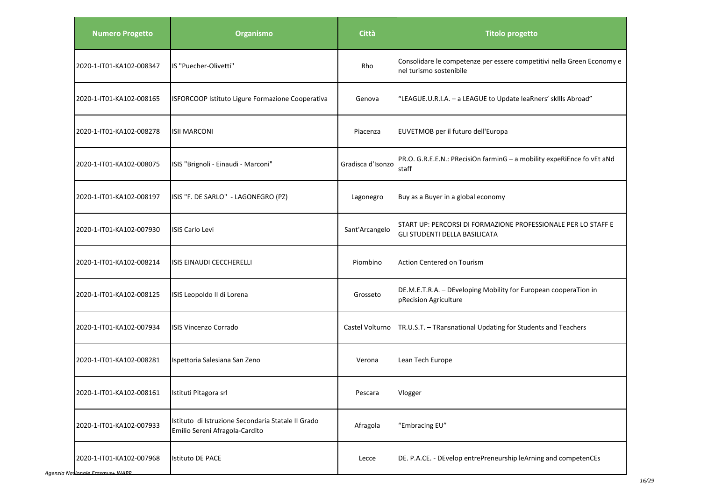| <b>Numero Progetto</b>   | Organismo                                                                            | Città             | <b>Titolo progetto</b>                                                                                |
|--------------------------|--------------------------------------------------------------------------------------|-------------------|-------------------------------------------------------------------------------------------------------|
| 2020-1-IT01-KA102-008347 | IS "Puecher-Olivetti"                                                                | Rho               | Consolidare le competenze per essere competitivi nella Green Economy e<br>nel turismo sostenibile     |
| 2020-1-IT01-KA102-008165 | ISFORCOOP Istituto Ligure Formazione Cooperativa                                     | Genova            | "LEAGUE.U.R.I.A. - a LEAGUE to Update leaRners' skills Abroad"                                        |
| 2020-1-IT01-KA102-008278 | <b>ISII MARCONI</b>                                                                  | Piacenza          | EUVETMOB per il futuro dell'Europa                                                                    |
| 2020-1-IT01-KA102-008075 | ISIS "Brignoli - Einaudi - Marconi"                                                  | Gradisca d'Isonzo | PR.O. G.R.E.E.N.: PRecisiOn farminG - a mobility expeRiEnce fo vEt aNd<br>staff                       |
| 2020-1-IT01-KA102-008197 | ISIS "F. DE SARLO" - LAGONEGRO (PZ)                                                  | Lagonegro         | Buy as a Buyer in a global economy                                                                    |
| 2020-1-IT01-KA102-007930 | <b>ISIS Carlo Levi</b>                                                               | Sant'Arcangelo    | START UP: PERCORSI DI FORMAZIONE PROFESSIONALE PER LO STAFF E<br><b>GLI STUDENTI DELLA BASILICATA</b> |
| 2020-1-IT01-KA102-008214 | ISIS EINAUDI CECCHERELLI                                                             | Piombino          | <b>Action Centered on Tourism</b>                                                                     |
| 2020-1-IT01-KA102-008125 | ISIS Leopoldo II di Lorena                                                           | Grosseto          | DE.M.E.T.R.A. - DEveloping Mobility for European cooperaTion in<br>pRecision Agriculture              |
| 2020-1-IT01-KA102-007934 | <b>ISIS Vincenzo Corrado</b>                                                         | Castel Volturno   | TR.U.S.T. - TRansnational Updating for Students and Teachers                                          |
| 2020-1-IT01-KA102-008281 | Ispettoria Salesiana San Zeno                                                        | Verona            | Lean Tech Europe                                                                                      |
| 2020-1-IT01-KA102-008161 | Istituti Pitagora srl                                                                | Pescara           | Vlogger                                                                                               |
| 2020-1-IT01-KA102-007933 | Istituto di Istruzione Secondaria Statale II Grado<br>Emilio Sereni Afragola-Cardito | Afragola          | "Embracing EU"                                                                                        |
| 2020-1-IT01-KA102-007968 | <b>Istituto DE PACE</b>                                                              | Lecce             | DE. P.A.CE. - DEvelop entrePreneurship leArning and competenCEs                                       |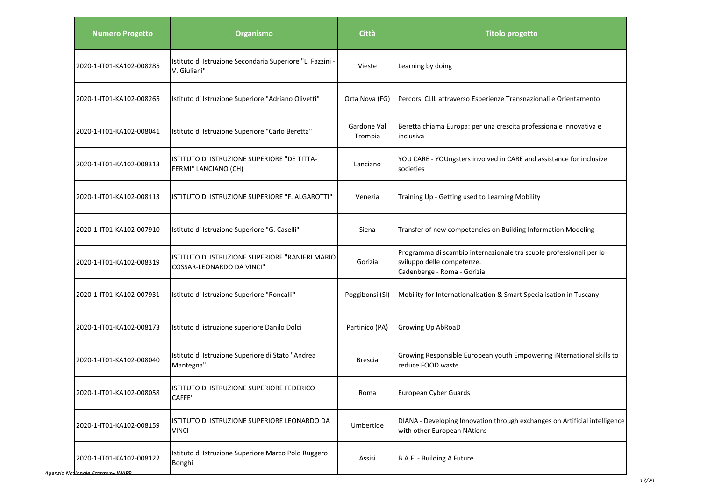| <b>Numero Progetto</b>   | <b>Organismo</b>                                                             | Città                  | <b>Titolo progetto</b>                                                                                                           |
|--------------------------|------------------------------------------------------------------------------|------------------------|----------------------------------------------------------------------------------------------------------------------------------|
| 2020-1-IT01-KA102-008285 | Istituto di Istruzione Secondaria Superiore "L. Fazzini -<br>V. Giuliani"    | Vieste                 | Learning by doing                                                                                                                |
| 2020-1-IT01-KA102-008265 | Istituto di Istruzione Superiore "Adriano Olivetti"                          | Orta Nova (FG)         | Percorsi CLIL attraverso Esperienze Transnazionali e Orientamento                                                                |
| 2020-1-IT01-KA102-008041 | Istituto di Istruzione Superiore "Carlo Beretta"                             | Gardone Val<br>Trompia | Beretta chiama Europa: per una crescita professionale innovativa e<br>inclusiva                                                  |
| 2020-1-IT01-KA102-008313 | ISTITUTO DI ISTRUZIONE SUPERIORE "DE TITTA-<br>FERMI" LANCIANO (CH)          | Lanciano               | YOU CARE - YOUngsters involved in CARE and assistance for inclusive<br>societies                                                 |
| 2020-1-IT01-KA102-008113 | ISTITUTO DI ISTRUZIONE SUPERIORE "F. ALGAROTTI"                              | Venezia                | Training Up - Getting used to Learning Mobility                                                                                  |
| 2020-1-IT01-KA102-007910 | Istituto di Istruzione Superiore "G. Caselli"                                | Siena                  | Transfer of new competencies on Building Information Modeling                                                                    |
| 2020-1-IT01-KA102-008319 | ISTITUTO DI ISTRUZIONE SUPERIORE "RANIERI MARIO<br>COSSAR-LEONARDO DA VINCI" | Gorizia                | Programma di scambio internazionale tra scuole professionali per lo<br>sviluppo delle competenze.<br>Cadenberge - Roma - Gorizia |
| 2020-1-IT01-KA102-007931 | Istituto di Istruzione Superiore "Roncalli"                                  | Poggibonsi (SI)        | Mobility for Internationalisation & Smart Specialisation in Tuscany                                                              |
| 2020-1-IT01-KA102-008173 | Istituto di istruzione superiore Danilo Dolci                                | Partinico (PA)         | Growing Up AbRoaD                                                                                                                |
| 2020-1-IT01-KA102-008040 | Istituto di Istruzione Superiore di Stato "Andrea<br>Mantegna"               | <b>Brescia</b>         | Growing Responsible European youth Empowering iNternational skills to<br>reduce FOOD waste                                       |
| 2020-1-IT01-KA102-008058 | ISTITUTO DI ISTRUZIONE SUPERIORE FEDERICO<br>CAFFE'                          | Roma                   | European Cyber Guards                                                                                                            |
| 2020-1-IT01-KA102-008159 | ISTITUTO DI ISTRUZIONE SUPERIORE LEONARDO DA<br><b>VINCI</b>                 | Umbertide              | DIANA - Developing Innovation through exchanges on Artificial intelligence<br>with other European NAtions                        |
| 2020-1-IT01-KA102-008122 | Istituto di Istruzione Superiore Marco Polo Ruggero<br>Bonghi                | Assisi                 | B.A.F. - Building A Future                                                                                                       |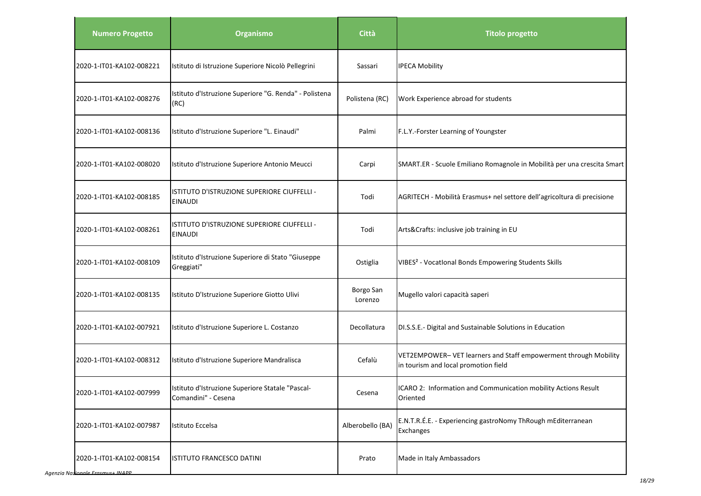| <b>Numero Progetto</b>   | <b>Organismo</b>                                                        | <b>Città</b>         | <b>Titolo progetto</b>                                                                                   |
|--------------------------|-------------------------------------------------------------------------|----------------------|----------------------------------------------------------------------------------------------------------|
| 2020-1-IT01-KA102-008221 | Istituto di Istruzione Superiore Nicolò Pellegrini                      | Sassari              | <b>IPECA Mobility</b>                                                                                    |
| 2020-1-IT01-KA102-008276 | Istituto d'Istruzione Superiore "G. Renda" - Polistena<br>(RC)          | Polistena (RC)       | Work Experience abroad for students                                                                      |
| 2020-1-IT01-KA102-008136 | Istituto d'Istruzione Superiore "L. Einaudi"                            | Palmi                | F.L.Y.-Forster Learning of Youngster                                                                     |
| 2020-1-IT01-KA102-008020 | Istituto d'Istruzione Superiore Antonio Meucci                          | Carpi                | SMART.ER - Scuole Emiliano Romagnole in Mobilità per una crescita Smart                                  |
| 2020-1-IT01-KA102-008185 | ISTITUTO D'ISTRUZIONE SUPERIORE CIUFFELLI -<br><b>EINAUDI</b>           | Todi                 | AGRITECH - Mobilità Erasmus+ nel settore dell'agricoltura di precisione                                  |
| 2020-1-IT01-KA102-008261 | ISTITUTO D'ISTRUZIONE SUPERIORE CIUFFELLI -<br><b>EINAUDI</b>           | Todi                 | Arts&Crafts: inclusive job training in EU                                                                |
| 2020-1-IT01-KA102-008109 | Istituto d'Istruzione Superiore di Stato "Giuseppe<br>Greggiati"        | Ostiglia             | VIBES <sup>2</sup> - Vocational Bonds Empowering Students Skills                                         |
| 2020-1-IT01-KA102-008135 | Istituto D'Istruzione Superiore Giotto Ulivi                            | Borgo San<br>Lorenzo | Mugello valori capacità saperi                                                                           |
| 2020-1-IT01-KA102-007921 | Istituto d'Istruzione Superiore L. Costanzo                             | Decollatura          | DI.S.S.E.- Digital and Sustainable Solutions in Education                                                |
| 2020-1-IT01-KA102-008312 | Istituto d'Istruzione Superiore Mandralisca                             | Cefalù               | VET2EMPOWER- VET learners and Staff empowerment through Mobility<br>in tourism and local promotion field |
| 2020-1-IT01-KA102-007999 | Istituto d'Istruzione Superiore Statale "Pascal-<br>Comandini" - Cesena | Cesena               | ICARO 2: Information and Communication mobility Actions Result<br>Oriented                               |
| 2020-1-IT01-KA102-007987 | Istituto Eccelsa                                                        | Alberobello (BA)     | E.N.T.R.É.E. - Experiencing gastroNomy ThRough mEditerranean<br>Exchanges                                |
| 2020-1-IT01-KA102-008154 | ISTITUTO FRANCESCO DATINI                                               | Prato                | Made in Italy Ambassadors                                                                                |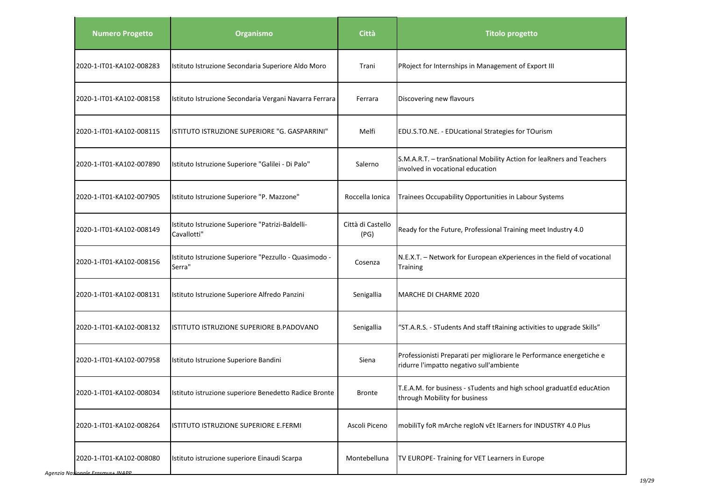| <b>Numero Progetto</b>              | <b>Organismo</b>                                                | <b>Città</b>              | <b>Titolo progetto</b>                                                                                           |
|-------------------------------------|-----------------------------------------------------------------|---------------------------|------------------------------------------------------------------------------------------------------------------|
| 2020-1-IT01-KA102-008283            | Istituto Istruzione Secondaria Superiore Aldo Moro              | Trani                     | PRoject for Internships in Management of Export III                                                              |
| 2020-1-IT01-KA102-008158            | Istituto Istruzione Secondaria Vergani Navarra Ferrara          | Ferrara                   | Discovering new flavours                                                                                         |
| 2020-1-IT01-KA102-008115            | ISTITUTO ISTRUZIONE SUPERIORE "G. GASPARRINI"                   | Melfi                     | EDU.S.TO.NE. - EDUcational Strategies for TOurism                                                                |
| 2020-1-IT01-KA102-007890            | Istituto Istruzione Superiore "Galilei - Di Palo"               | Salerno                   | S.M.A.R.T. - tranSnational Mobility Action for leaRners and Teachers<br>involved in vocational education         |
| 2020-1-IT01-KA102-007905            | Istituto Istruzione Superiore "P. Mazzone"                      | Roccella Ionica           | Trainees Occupability Opportunities in Labour Systems                                                            |
| 2020-1-IT01-KA102-008149            | Istituto Istruzione Superiore "Patrizi-Baldelli-<br>Cavallotti" | Città di Castello<br>(PG) | Ready for the Future, Professional Training meet Industry 4.0                                                    |
| 2020-1-IT01-KA102-008156            | Istituto Istruzione Superiore "Pezzullo - Quasimodo -<br>Serra" | Cosenza                   | N.E.X.T. - Network for European eXperiences in the field of vocational<br><b>Training</b>                        |
| 2020-1-IT01-KA102-008131            | Istituto Istruzione Superiore Alfredo Panzini                   | Senigallia                | <b>MARCHE DI CHARME 2020</b>                                                                                     |
| 2020-1-IT01-KA102-008132            | ISTITUTO ISTRUZIONE SUPERIORE B.PADOVANO                        | Senigallia                | "ST.A.R.S. - STudents And staff tRaining activities to upgrade Skills"                                           |
| 2020-1-IT01-KA102-007958            | Istituto Istruzione Superiore Bandini                           | Siena                     | Professionisti Preparati per migliorare le Performance energetiche e<br>ridurre l'impatto negativo sull'ambiente |
| 2020-1-IT01-KA102-008034            | Istituto istruzione superiore Benedetto Radice Bronte           | <b>Bronte</b>             | T.E.A.M. for business - sTudents and high school graduatEd educAtion<br>through Mobility for business            |
| 2020-1-IT01-KA102-008264            | ISTITUTO ISTRUZIONE SUPERIORE E.FERMI                           | Ascoli Piceno             | mobiliTy foR mArche regIoN vEt IEarners for INDUSTRY 4.0 Plus                                                    |
| 2020-1-IT01-KA102-008080<br>IIIBIDD | Istituto istruzione superiore Einaudi Scarpa                    | Montebelluna              | TV EUROPE- Training for VET Learners in Europe                                                                   |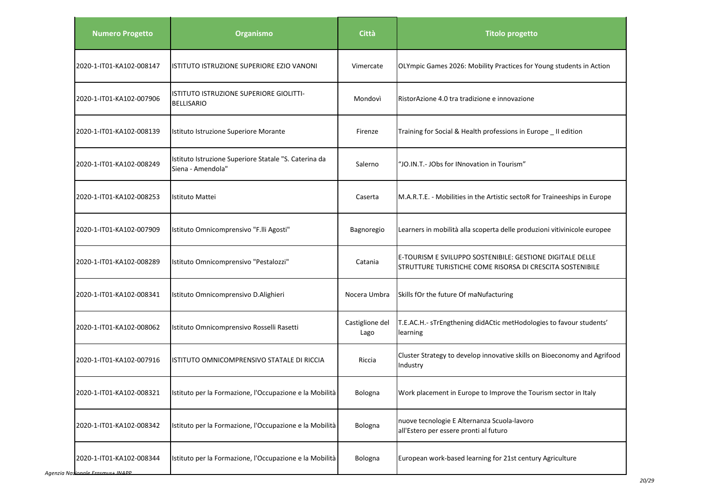| <b>Numero Progetto</b>   | <b>Organismo</b>                                                           | Città                   | <b>Titolo progetto</b>                                                                                                 |
|--------------------------|----------------------------------------------------------------------------|-------------------------|------------------------------------------------------------------------------------------------------------------------|
| 2020-1-IT01-KA102-008147 | ISTITUTO ISTRUZIONE SUPERIORE EZIO VANONI                                  | Vimercate               | OLYmpic Games 2026: Mobility Practices for Young students in Action                                                    |
| 2020-1-IT01-KA102-007906 | ISTITUTO ISTRUZIONE SUPERIORE GIOLITTI-<br><b>BELLISARIO</b>               | Mondovì                 | RistorAzione 4.0 tra tradizione e innovazione                                                                          |
| 2020-1-IT01-KA102-008139 | Istituto Istruzione Superiore Morante                                      | Firenze                 | Training for Social & Health professions in Europe _ II edition                                                        |
| 2020-1-IT01-KA102-008249 | Istituto Istruzione Superiore Statale "S. Caterina da<br>Siena - Amendola" | Salerno                 | "JO.IN.T.- JObs for INnovation in Tourism"                                                                             |
| 2020-1-IT01-KA102-008253 | Istituto Mattei                                                            | Caserta                 | M.A.R.T.E. - Mobilities in the Artistic sectoR for Traineeships in Europe                                              |
| 2020-1-IT01-KA102-007909 | Istituto Omnicomprensivo "F.lli Agosti"                                    | Bagnoregio              | Learners in mobilità alla scoperta delle produzioni vitivinicole europee                                               |
| 2020-1-IT01-KA102-008289 | Istituto Omnicomprensivo "Pestalozzi"                                      | Catania                 | E-TOURISM E SVILUPPO SOSTENIBILE: GESTIONE DIGITALE DELLE<br>STRUTTURE TURISTICHE COME RISORSA DI CRESCITA SOSTENIBILE |
| 2020-1-IT01-KA102-008341 | Istituto Omnicomprensivo D.Alighieri                                       | Nocera Umbra            | Skills fOr the future Of maNufacturing                                                                                 |
| 2020-1-IT01-KA102-008062 | Istituto Omnicomprensivo Rosselli Rasetti                                  | Castiglione del<br>Lago | T.E.AC.H.- sTrEngthening didACtic metHodologies to favour students'<br>learning                                        |
| 2020-1-IT01-KA102-007916 | ISTITUTO OMNICOMPRENSIVO STATALE DI RICCIA                                 | Riccia                  | Cluster Strategy to develop innovative skills on Bioeconomy and Agrifood<br>Industry                                   |
| 2020-1-IT01-KA102-008321 | Istituto per la Formazione, l'Occupazione e la Mobilità                    | <b>Bologna</b>          | Work placement in Europe to Improve the Tourism sector in Italy                                                        |
| 2020-1-IT01-KA102-008342 | Istituto per la Formazione, l'Occupazione e la Mobilità                    | Bologna                 | nuove tecnologie E Alternanza Scuola-lavoro<br>all'Estero per essere pronti al futuro                                  |
| 2020-1-IT01-KA102-008344 | Istituto per la Formazione, l'Occupazione e la Mobilità                    | Bologna                 | European work-based learning for 21st century Agriculture                                                              |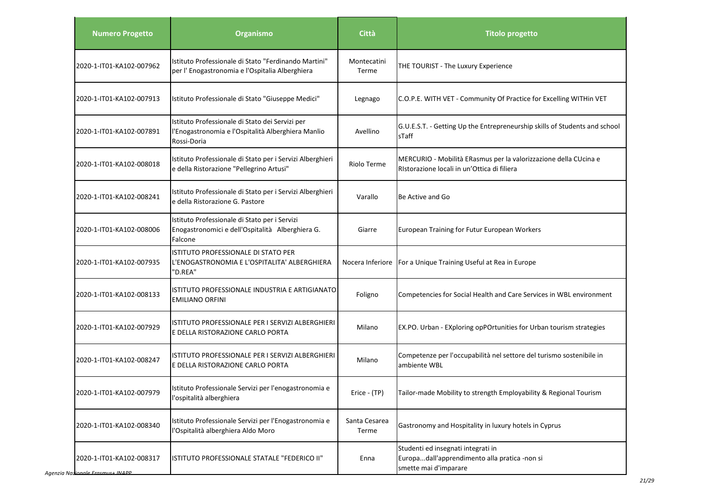| <b>Numero Progetto</b>   | <b>Organismo</b>                                                                                                     | <b>Città</b>           | <b>Titolo progetto</b>                                                                                          |
|--------------------------|----------------------------------------------------------------------------------------------------------------------|------------------------|-----------------------------------------------------------------------------------------------------------------|
| 2020-1-IT01-KA102-007962 | Istituto Professionale di Stato "Ferdinando Martini"<br>per l'Enogastronomia e l'Ospitalia Alberghiera               | Montecatini<br>Terme   | THE TOURIST - The Luxury Experience                                                                             |
| 2020-1-IT01-KA102-007913 | Istituto Professionale di Stato "Giuseppe Medici"                                                                    | Legnago                | C.O.P.E. WITH VET - Community Of Practice for Excelling WITHin VET                                              |
| 2020-1-IT01-KA102-007891 | Istituto Professionale di Stato dei Servizi per<br>l'Enogastronomia e l'Ospitalità Alberghiera Manlio<br>Rossi-Doria | Avellino               | G.U.E.S.T. - Getting Up the Entrepreneurship skills of Students and school<br>sTaff                             |
| 2020-1-IT01-KA102-008018 | Istituto Professionale di Stato per i Servizi Alberghieri<br>e della Ristorazione "Pellegrino Artusi"                | Riolo Terme            | MERCURIO - Mobilità ERasmus per la valorizzazione della CUcina e<br>Ristorazione locali in un'Ottica di filiera |
| 2020-1-IT01-KA102-008241 | Istituto Professionale di Stato per i Servizi Alberghieri<br>e della Ristorazione G. Pastore                         | Varallo                | Be Active and Go                                                                                                |
| 2020-1-IT01-KA102-008006 | Istituto Professionale di Stato per i Servizi<br>Enogastronomici e dell'Ospitalità Alberghiera G.<br>Falcone         | Giarre                 | European Training for Futur European Workers                                                                    |
| 2020-1-IT01-KA102-007935 | ISTITUTO PROFESSIONALE DI STATO PER<br>L'ENOGASTRONOMIA E L'OSPITALITA' ALBERGHIERA<br>"D.REA"                       |                        | Nocera Inferiore   For a Unique Training Useful at Rea in Europe                                                |
| 2020-1-IT01-KA102-008133 | ISTITUTO PROFESSIONALE INDUSTRIA E ARTIGIANATO<br><b>EMILIANO ORFINI</b>                                             | Foligno                | Competencies for Social Health and Care Services in WBL environment                                             |
| 2020-1-IT01-KA102-007929 | ISTITUTO PROFESSIONALE PER I SERVIZI ALBERGHIERI<br>E DELLA RISTORAZIONE CARLO PORTA                                 | Milano                 | EX.PO. Urban - EXploring opPOrtunities for Urban tourism strategies                                             |
| 2020-1-IT01-KA102-008247 | ISTITUTO PROFESSIONALE PER I SERVIZI ALBERGHIERI<br>E DELLA RISTORAZIONE CARLO PORTA                                 | Milano                 | Competenze per l'occupabilità nel settore del turismo sostenibile in<br>ambiente WBL                            |
| 2020-1-IT01-KA102-007979 | Istituto Professionale Servizi per l'enogastronomia e<br>l'ospitalità alberghiera                                    | Erice - (TP)           | Tailor-made Mobility to strength Employability & Regional Tourism                                               |
| 2020-1-IT01-KA102-008340 | Istituto Professionale Servizi per l'Enogastronomia e<br>l'Ospitalità alberghiera Aldo Moro                          | Santa Cesarea<br>Terme | Gastronomy and Hospitality in luxury hotels in Cyprus                                                           |
| 2020-1-IT01-KA102-008317 | ISTITUTO PROFESSIONALE STATALE "FEDERICO II"                                                                         | Enna                   | Studenti ed insegnati integrati in<br>Europadall'apprendimento alla pratica -non si<br>smette mai d'imparare    |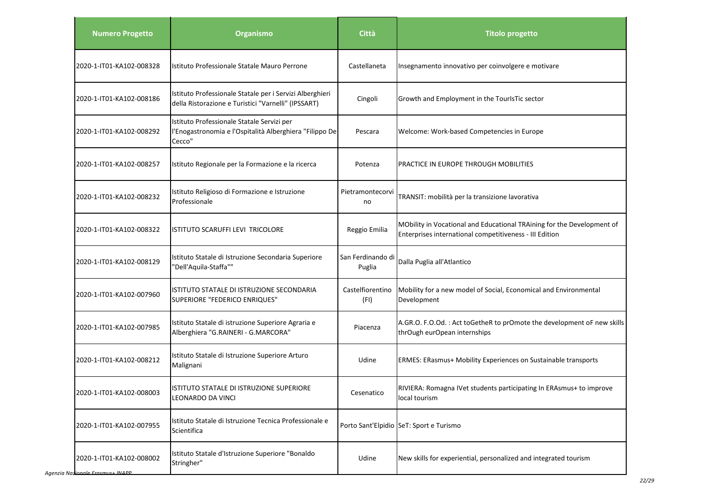| <b>Numero Progetto</b>   | <b>Organismo</b>                                                                                                | Città                       | <b>Titolo progetto</b>                                                                                                            |
|--------------------------|-----------------------------------------------------------------------------------------------------------------|-----------------------------|-----------------------------------------------------------------------------------------------------------------------------------|
| 2020-1-IT01-KA102-008328 | Istituto Professionale Statale Mauro Perrone                                                                    | Castellaneta                | Insegnamento innovativo per coinvolgere e motivare                                                                                |
| 2020-1-IT01-KA102-008186 | Istituto Professionale Statale per i Servizi Alberghieri<br>della Ristorazione e Turistici "Varnelli" (IPSSART) | Cingoli                     | Growth and Employment in the TourIsTic sector                                                                                     |
| 2020-1-IT01-KA102-008292 | Istituto Professionale Statale Servizi per<br>l'Enogastronomia e l'Ospitalità Alberghiera "Filippo De<br>Cecco" | Pescara                     | Welcome: Work-based Competencies in Europe                                                                                        |
| 2020-1-IT01-KA102-008257 | Istituto Regionale per la Formazione e la ricerca                                                               | Potenza                     | <b>PRACTICE IN EUROPE THROUGH MOBILITIES</b>                                                                                      |
| 2020-1-IT01-KA102-008232 | Istituto Religioso di Formazione e Istruzione<br>Professionale                                                  | Pietramontecorvi<br>no      | TRANSIT: mobilità per la transizione lavorativa                                                                                   |
| 2020-1-IT01-KA102-008322 | ISTITUTO SCARUFFI LEVI TRICOLORE                                                                                | Reggio Emilia               | MObility in Vocational and Educational TRAining for the Development of<br>Enterprises international competitiveness - III Edition |
| 2020-1-IT01-KA102-008129 | Istituto Statale di Istruzione Secondaria Superiore<br>'Dell'Aquila-Staffa""                                    | San Ferdinando di<br>Puglia | Dalla Puglia all'Atlantico                                                                                                        |
| 2020-1-IT01-KA102-007960 | ISTITUTO STATALE DI ISTRUZIONE SECONDARIA<br>SUPERIORE "FEDERICO ENRIQUES"                                      | Castelfiorentino<br>(FI)    | Mobility for a new model of Social, Economical and Environmental<br>Development                                                   |
| 2020-1-IT01-KA102-007985 | Istituto Statale di istruzione Superiore Agraria e<br>Alberghiera "G.RAINERI - G.MARCORA"                       | Piacenza                    | A.GR.O. F.O.Od.: Act toGetheR to prOmote the development oF new skills<br>thrOugh eurOpean internships                            |
| 2020-1-IT01-KA102-008212 | Istituto Statale di Istruzione Superiore Arturo<br>Malignani                                                    | Udine                       | ERMES: ERasmus+ Mobility Experiences on Sustainable transports                                                                    |
| 2020-1-IT01-KA102-008003 | ISTITUTO STATALE DI ISTRUZIONE SUPERIORE<br>LEONARDO DA VINCI                                                   | Cesenatico                  | RIVIERA: Romagna IVet students participating In ERAsmus+ to improve<br>local tourism                                              |
| 2020-1-IT01-KA102-007955 | Istituto Statale di Istruzione Tecnica Professionale e<br>Scientifica                                           |                             | Porto Sant'Elpidio SeT: Sport e Turismo                                                                                           |
| 2020-1-IT01-KA102-008002 | Istituto Statale d'Istruzione Superiore "Bonaldo<br>Stringher"                                                  | Udine                       | New skills for experiential, personalized and integrated tourism                                                                  |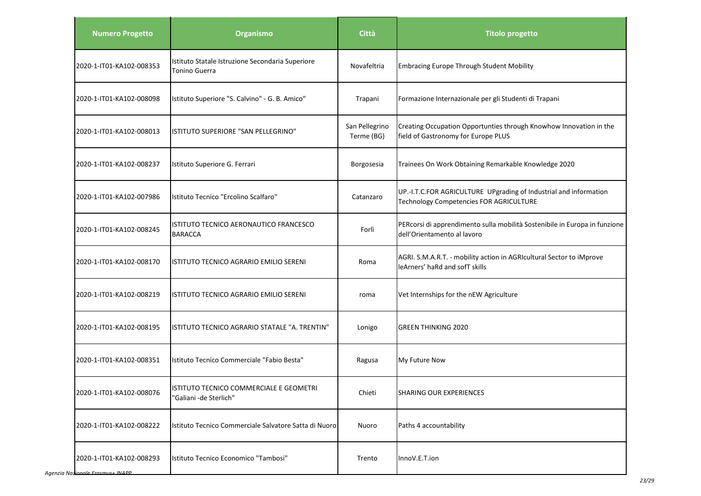| <b>Numero Progetto</b>   | <b>Organismo</b>                                                  | Città                        | <b>Titolo progetto</b>                                                                                       |
|--------------------------|-------------------------------------------------------------------|------------------------------|--------------------------------------------------------------------------------------------------------------|
| 2020-1-IT01-KA102-008353 | Istituto Statale Istruzione Secondaria Superiore<br>Tonino Guerra | Novafeltria                  | <b>Embracing Europe Through Student Mobility</b>                                                             |
| 2020-1-IT01-KA102-008098 | Istituto Superiore "S. Calvino" - G. B. Amico"                    | Trapani                      | Formazione Internazionale per gli Studenti di Trapani                                                        |
| 2020-1-IT01-KA102-008013 | ISTITUTO SUPERIORE "SAN PELLEGRINO"                               | San Pellegrino<br>Terme (BG) | Creating Occupation Opportunties through Knowhow Innovation in the<br>field of Gastronomy for Europe PLUS    |
| 2020-1-IT01-KA102-008237 | Istituto Superiore G. Ferrari                                     | Borgosesia                   | Trainees On Work Obtaining Remarkable Knowledge 2020                                                         |
| 2020-1-IT01-KA102-007986 | Istituto Tecnico "Ercolino Scalfaro"                              | Catanzaro                    | UP.-I.T.C.FOR AGRICULTURE UPgrading of Industrial and information<br>Technology Competencies FOR AGRICULTURE |
| 2020-1-IT01-KA102-008245 | IISTITUTO TECNICO AERONAUTICO FRANCESCO<br><b>BARACCA</b>         | Forlì                        | PERcorsi di apprendimento sulla mobilità Sostenibile in Europa in funzione<br>dell'Orientamento al lavoro    |
| 2020-1-IT01-KA102-008170 | IISTITUTO TECNICO AGRARIO EMILIO SERENI                           | Roma                         | AGRI. S.M.A.R.T. - mobility action in AGRIcultural Sector to iMprove<br>leArners' haRd and sofT skills       |
| 2020-1-IT01-KA102-008219 | ISTITUTO TECNICO AGRARIO EMILIO SERENI                            | roma                         | Vet Internships for the nEW Agriculture                                                                      |
| 2020-1-IT01-KA102-008195 | ISTITUTO TECNICO AGRARIO STATALE "A. TRENTIN"                     | Lonigo                       | <b>GREEN THINKING 2020</b>                                                                                   |
| 2020-1-IT01-KA102-008351 | Istituto Tecnico Commerciale "Fabio Besta"                        | Ragusa                       | My Future Now                                                                                                |
| 2020-1-IT01-KA102-008076 | ISTITUTO TECNICO COMMERCIALE E GEOMETRI<br>"Galiani -de Sterlich" | Chieti                       | SHARING OUR EXPERIENCES                                                                                      |
| 2020-1-IT01-KA102-008222 | Istituto Tecnico Commerciale Salvatore Satta di Nuoro             | Nuoro                        | Paths 4 accountability                                                                                       |
| 2020-1-IT01-KA102-008293 | Istituto Tecnico Economico "Tambosi"                              | Trento                       | InnoV.E.T.ion                                                                                                |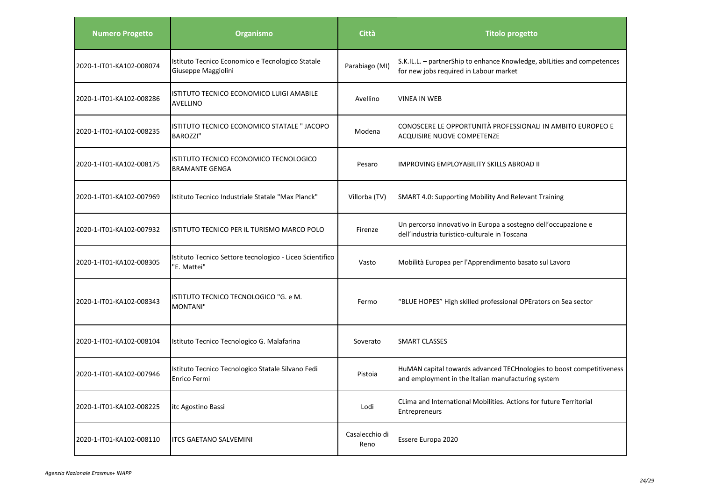| <b>Numero Progetto</b>   | Organismo                                                               | <b>Città</b>           | <b>Titolo progetto</b>                                                                                                     |
|--------------------------|-------------------------------------------------------------------------|------------------------|----------------------------------------------------------------------------------------------------------------------------|
| 2020-1-IT01-KA102-008074 | Istituto Tecnico Economico e Tecnologico Statale<br>Giuseppe Maggiolini | Parabiago (MI)         | S.K.IL.L. - partnerShip to enhance Knowledge, abILities and competences<br>for new jobs required in Labour market          |
| 2020-1-IT01-KA102-008286 | ISTITUTO TECNICO ECONOMICO LUIGI AMABILE<br><b>AVELLINO</b>             | Avellino               | <b>VINEA IN WEB</b>                                                                                                        |
| 2020-1-IT01-KA102-008235 | ISTITUTO TECNICO ECONOMICO STATALE " JACOPO<br><b>BAROZZI"</b>          | Modena                 | CONOSCERE LE OPPORTUNITÀ PROFESSIONALI IN AMBITO EUROPEO E<br><b>ACQUISIRE NUOVE COMPETENZE</b>                            |
| 2020-1-IT01-KA102-008175 | ISTITUTO TECNICO ECONOMICO TECNOLOGICO<br><b>BRAMANTE GENGA</b>         | Pesaro                 | IMPROVING EMPLOYABILITY SKILLS ABROAD II                                                                                   |
| 2020-1-IT01-KA102-007969 | Istituto Tecnico Industriale Statale "Max Planck"                       | Villorba (TV)          | SMART 4.0: Supporting Mobility And Relevant Training                                                                       |
| 2020-1-IT01-KA102-007932 | ISTITUTO TECNICO PER IL TURISMO MARCO POLO                              | Firenze                | Un percorso innovativo in Europa a sostegno dell'occupazione e<br>dell'industria turistico-culturale in Toscana            |
| 2020-1-IT01-KA102-008305 | Istituto Tecnico Settore tecnologico - Liceo Scientifico<br>"E. Mattei" | Vasto                  | Mobilità Europea per l'Apprendimento basato sul Lavoro                                                                     |
| 2020-1-IT01-KA102-008343 | ISTITUTO TECNICO TECNOLOGICO "G. e M.<br><b>MONTANI"</b>                | Fermo                  | "BLUE HOPES" High skilled professional OPErators on Sea sector                                                             |
| 2020-1-IT01-KA102-008104 | Istituto Tecnico Tecnologico G. Malafarina                              | Soverato               | SMART CLASSES                                                                                                              |
| 2020-1-IT01-KA102-007946 | Istituto Tecnico Tecnologico Statale Silvano Fedi<br>Enrico Fermi       | Pistoia                | HuMAN capital towards advanced TECHnologies to boost competitiveness<br>and employment in the Italian manufacturing system |
| 2020-1-IT01-KA102-008225 | itc Agostino Bassi                                                      | Lodi                   | CLima and International Mobilities. Actions for future Territorial<br>Entrepreneurs                                        |
| 2020-1-IT01-KA102-008110 | <b>ITCS GAETANO SALVEMINI</b>                                           | Casalecchio di<br>Reno | Essere Europa 2020                                                                                                         |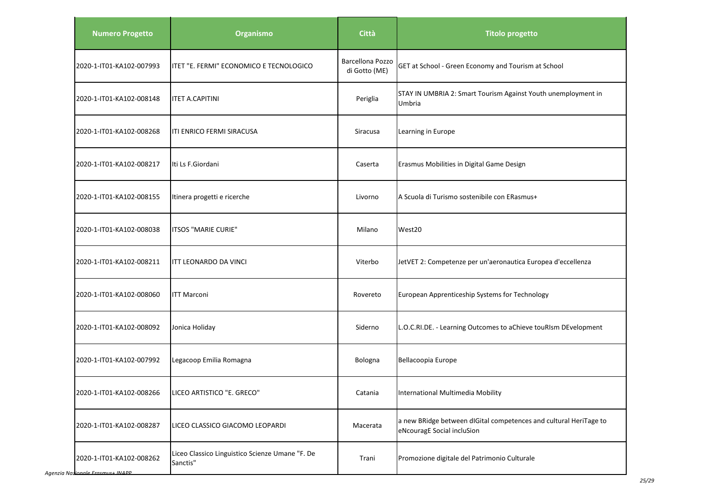| <b>Numero Progetto</b>   | Organismo                                                   | Città                                    | <b>Titolo progetto</b>                                                                          |
|--------------------------|-------------------------------------------------------------|------------------------------------------|-------------------------------------------------------------------------------------------------|
| 2020-1-IT01-KA102-007993 | litet "E. Fermi" economico e tecnologico                    | <b>Barcellona Pozzo</b><br>di Gotto (ME) | GET at School - Green Economy and Tourism at School                                             |
| 2020-1-IT01-KA102-008148 | <b>ITET A.CAPITINI</b>                                      | Periglia                                 | STAY IN UMBRIA 2: Smart Tourism Against Youth unemployment in<br>Umbria                         |
| 2020-1-IT01-KA102-008268 | ITI ENRICO FERMI SIRACUSA                                   | Siracusa                                 | Learning in Europe                                                                              |
| 2020-1-IT01-KA102-008217 | Iti Ls F.Giordani                                           | Caserta                                  | Erasmus Mobilities in Digital Game Design                                                       |
| 2020-1-IT01-KA102-008155 | Itinera progetti e ricerche                                 | Livorno                                  | A Scuola di Turismo sostenibile con ERasmus+                                                    |
| 2020-1-IT01-KA102-008038 | ITSOS "MARIE CURIE"                                         | Milano                                   | West20                                                                                          |
| 2020-1-IT01-KA102-008211 | <b>ITT LEONARDO DA VINCI</b>                                | Viterbo                                  | JetVET 2: Competenze per un'aeronautica Europea d'eccellenza                                    |
| 2020-1-IT01-KA102-008060 | <b>ITT Marconi</b>                                          | Rovereto                                 | European Apprenticeship Systems for Technology                                                  |
| 2020-1-IT01-KA102-008092 | Jonica Holiday                                              | Siderno                                  | L.O.C.RI.DE. - Learning Outcomes to aChieve touRIsm DEvelopment                                 |
| 2020-1-IT01-KA102-007992 | Legacoop Emilia Romagna                                     | Bologna                                  | Bellacoopia Europe                                                                              |
| 2020-1-IT01-KA102-008266 | LICEO ARTISTICO "E. GRECO"                                  | Catania                                  | International Multimedia Mobility                                                               |
| 2020-1-IT01-KA102-008287 | LICEO CLASSICO GIACOMO LEOPARDI                             | Macerata                                 | a new BRidge between dIGital competences and cultural HeriTage to<br>eNcouragE Social incluSion |
| 2020-1-IT01-KA102-008262 | Liceo Classico Linguistico Scienze Umane "F. De<br>Sanctis" | Trani                                    | Promozione digitale del Patrimonio Culturale                                                    |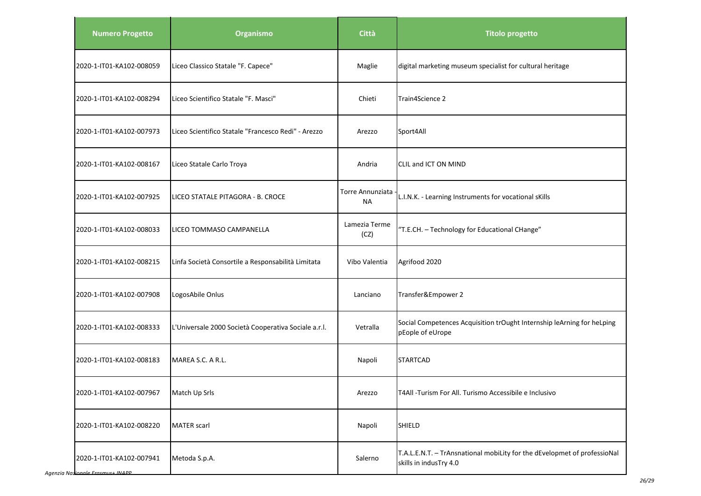| <b>Numero Progetto</b>   | Organismo                                            | Città                         | <b>Titolo progetto</b>                                                                             |
|--------------------------|------------------------------------------------------|-------------------------------|----------------------------------------------------------------------------------------------------|
| 2020-1-IT01-KA102-008059 | Liceo Classico Statale "F. Capece"                   | Maglie                        | digital marketing museum specialist for cultural heritage                                          |
| 2020-1-IT01-KA102-008294 | Liceo Scientifico Statale "F. Masci"                 | Chieti                        | Train4Science 2                                                                                    |
| 2020-1-IT01-KA102-007973 | Liceo Scientifico Statale "Francesco Redi" - Arezzo  | Arezzo                        | Sport4All                                                                                          |
| 2020-1-IT01-KA102-008167 | Liceo Statale Carlo Troya                            | Andria                        | CLIL and ICT ON MIND                                                                               |
| 2020-1-IT01-KA102-007925 | LICEO STATALE PITAGORA - B. CROCE                    | Torre Annunziata<br><b>NA</b> | L.I.N.K. - Learning Instruments for vocational sKills                                              |
| 2020-1-IT01-KA102-008033 | LICEO TOMMASO CAMPANELLA                             | Lamezia Terme<br>(CZ)         | "T.E.CH. - Technology for Educational CHange"                                                      |
| 2020-1-IT01-KA102-008215 | Linfa Società Consortile a Responsabilità Limitata   | Vibo Valentia                 | Agrifood 2020                                                                                      |
| 2020-1-IT01-KA102-007908 | LogosAbile Onlus                                     | Lanciano                      | Transfer&Empower 2                                                                                 |
| 2020-1-IT01-KA102-008333 | L'Universale 2000 Società Cooperativa Sociale a.r.l. | Vetralla                      | Social Competences Acquisition trOught Internship leArning for heLping<br>pEople of eUrope         |
| 2020-1-IT01-KA102-008183 | MAREA S.C. A R.L.                                    | Napoli                        | <b>STARTCAD</b>                                                                                    |
| 2020-1-IT01-KA102-007967 | Match Up Srls                                        | Arezzo                        | T4All -Turism For All. Turismo Accessibile e Inclusivo                                             |
| 2020-1-IT01-KA102-008220 | <b>MATER</b> scarl                                   | Napoli                        | <b>SHIELD</b>                                                                                      |
| 2020-1-IT01-KA102-007941 | Metoda S.p.A.                                        | Salerno                       | T.A.L.E.N.T. - TrAnsnational mobiLity for the dEvelopmet of professioNal<br>skills in indusTry 4.0 |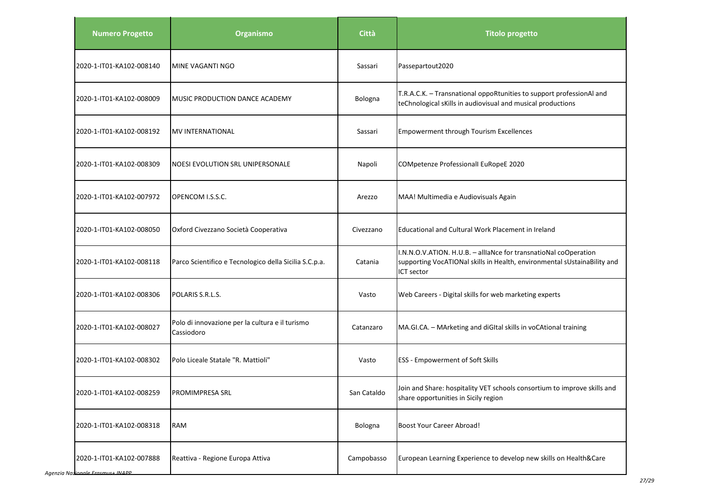| <b>Numero Progetto</b>   | <b>Organismo</b>                                              | <b>Città</b> | <b>Titolo progetto</b>                                                                                                                                     |
|--------------------------|---------------------------------------------------------------|--------------|------------------------------------------------------------------------------------------------------------------------------------------------------------|
| 2020-1-IT01-KA102-008140 | MINE VAGANTI NGO                                              | Sassari      | Passepartout2020                                                                                                                                           |
| 2020-1-IT01-KA102-008009 | MUSIC PRODUCTION DANCE ACADEMY                                | Bologna      | T.R.A.C.K. - Transnational oppoRtunities to support professionAl and<br>teChnological sKills in audiovisual and musical productions                        |
| 2020-1-IT01-KA102-008192 | <b>MV INTERNATIONAL</b>                                       | Sassari      | Empowerment through Tourism Excellences                                                                                                                    |
| 2020-1-IT01-KA102-008309 | NOESI EVOLUTION SRL UNIPERSONALE                              | Napoli       | COMpetenze Professionall EuRopeE 2020                                                                                                                      |
| 2020-1-IT01-KA102-007972 | OPENCOM I.S.S.C.                                              | Arezzo       | MAA! Multimedia e Audiovisuals Again                                                                                                                       |
| 2020-1-IT01-KA102-008050 | Oxford Civezzano Società Cooperativa                          | Civezzano    | Educational and Cultural Work Placement in Ireland                                                                                                         |
| 2020-1-IT01-KA102-008118 | Parco Scientifico e Tecnologico della Sicilia S.C.p.a.        | Catania      | I.N.N.O.V.ATION. H.U.B. - alliaNce for transnatioNal coOperation<br>supporting VocATIONal skills in Health, environmental sUstainaBility and<br>ICT sector |
| 2020-1-IT01-KA102-008306 | POLARIS S.R.L.S.                                              | Vasto        | Web Careers - Digital skills for web marketing experts                                                                                                     |
| 2020-1-IT01-KA102-008027 | Polo di innovazione per la cultura e il turismo<br>Cassiodoro | Catanzaro    | MA.GI.CA. - MArketing and diGItal skills in voCAtional training                                                                                            |
| 2020-1-IT01-KA102-008302 | Polo Liceale Statale "R. Mattioli"                            | Vasto        | <b>ESS - Empowerment of Soft Skills</b>                                                                                                                    |
| 2020-1-IT01-KA102-008259 | <b>PROMIMPRESA SRL</b>                                        | San Cataldo  | Join and Share: hospitality VET schools consortium to improve skills and<br>share opportunities in Sicily region                                           |
| 2020-1-IT01-KA102-008318 | <b>RAM</b>                                                    | Bologna      | <b>Boost Your Career Abroad!</b>                                                                                                                           |
| 2020-1-IT01-KA102-007888 | Reattiva - Regione Europa Attiva                              | Campobasso   | European Learning Experience to develop new skills on Health&Care                                                                                          |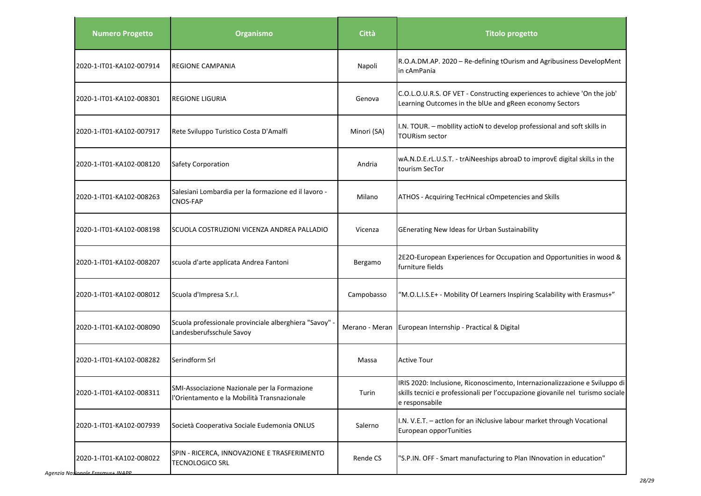| <b>Numero Progetto</b>   | <b>Organismo</b>                                                                            | Città          | <b>Titolo progetto</b>                                                                                                                                                          |
|--------------------------|---------------------------------------------------------------------------------------------|----------------|---------------------------------------------------------------------------------------------------------------------------------------------------------------------------------|
| 2020-1-IT01-KA102-007914 | <b>REGIONE CAMPANIA</b>                                                                     | Napoli         | R.O.A.DM.AP. 2020 - Re-defining tOurism and Agribusiness DevelopMent<br>in cAmPania                                                                                             |
| 2020-1-IT01-KA102-008301 | <b>REGIONE LIGURIA</b>                                                                      | Genova         | C.O.L.O.U.R.S. OF VET - Constructing experiences to achieve 'On the job'<br>Learning Outcomes in the blUe and gReen economy Sectors                                             |
| 2020-1-IT01-KA102-007917 | Rete Sviluppo Turistico Costa D'Amalfi                                                      | Minori (SA)    | I.N. TOUR. - mobility actioN to develop professional and soft skills in<br><b>TOURism sector</b>                                                                                |
| 2020-1-IT01-KA102-008120 | <b>Safety Corporation</b>                                                                   | Andria         | wA.N.D.E.rL.U.S.T. - trAiNeeships abroaD to improvE digital skilLs in the<br>tourism SecTor                                                                                     |
| 2020-1-IT01-KA102-008263 | Salesiani Lombardia per la formazione ed il lavoro -<br>CNOS-FAP                            | Milano         | ATHOS - Acquiring TecHnical cOmpetencies and Skills                                                                                                                             |
| 2020-1-IT01-KA102-008198 | SCUOLA COSTRUZIONI VICENZA ANDREA PALLADIO                                                  | Vicenza        | GEnerating New Ideas for Urban Sustainability                                                                                                                                   |
| 2020-1-IT01-KA102-008207 | scuola d'arte applicata Andrea Fantoni                                                      | Bergamo        | 2E2O-European Experiences for Occupation and Opportunities in wood &<br>furniture fields                                                                                        |
| 2020-1-IT01-KA102-008012 | Scuola d'Impresa S.r.l.                                                                     | Campobasso     | "M.O.L.I.S.E+ - Mobility Of Learners Inspiring Scalability with Erasmus+"                                                                                                       |
| 2020-1-IT01-KA102-008090 | Scuola professionale provinciale alberghiera "Savoy" -<br>Landesberufsschule Savoy          | Merano - Meran | European Internship - Practical & Digital                                                                                                                                       |
| 2020-1-IT01-KA102-008282 | Serindform Srl                                                                              | Massa          | <b>Active Tour</b>                                                                                                                                                              |
| 2020-1-IT01-KA102-008311 | SMI-Associazione Nazionale per la Formazione<br>l'Orientamento e la Mobilità Transnazionale | Turin          | IRIS 2020: Inclusione, Riconoscimento, Internazionalizzazione e Sviluppo di<br>skills tecnici e professionali per l'occupazione giovanile nel turismo sociale<br>e responsabile |
| 2020-1-IT01-KA102-007939 | Società Cooperativa Sociale Eudemonia ONLUS                                                 | Salerno        | I.N. V.E.T. - action for an iNclusive labour market through Vocational<br>European opporTunities                                                                                |
| 2020-1-IT01-KA102-008022 | SPIN - RICERCA, INNOVAZIONE E TRASFERIMENTO<br><b>TECNOLOGICO SRL</b>                       | Rende CS       | "S.P.IN. OFF - Smart manufacturing to Plan INnovation in education"                                                                                                             |